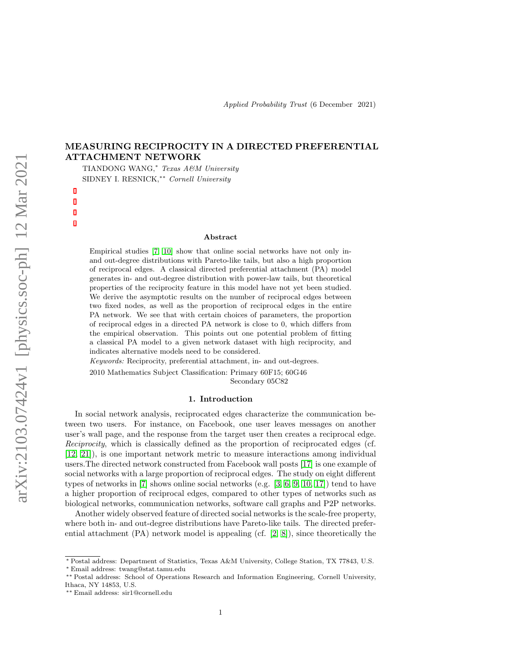# MEASURING RECIPROCITY IN A DIRECTED PREFERENTIAL ATTACHMENT NETWORK

TIANDONG WANG,<sup>∗</sup> Texas A&M University SIDNEY I. RESNICK,∗∗ Cornell University

#### Abstract

Empirical studies [\[7,](#page-23-0) [10\]](#page-23-1) show that online social networks have not only inand out-degree distributions with Pareto-like tails, but also a high proportion of reciprocal edges. A classical directed preferential attachment (PA) model generates in- and out-degree distribution with power-law tails, but theoretical properties of the reciprocity feature in this model have not yet been studied. We derive the asymptotic results on the number of reciprocal edges between two fixed nodes, as well as the proportion of reciprocal edges in the entire PA network. We see that with certain choices of parameters, the proportion of reciprocal edges in a directed PA network is close to 0, which differs from the empirical observation. This points out one potential problem of fitting a classical PA model to a given network dataset with high reciprocity, and indicates alternative models need to be considered.

Keywords: Reciprocity, preferential attachment, in- and out-degrees.

2010 Mathematics Subject Classification: Primary 60F15; 60G46 Secondary 05C82

#### 1. Introduction

In social network analysis, reciprocated edges characterize the communication between two users. For instance, on Facebook, one user leaves messages on another user's wall page, and the response from the target user then creates a reciprocal edge. Reciprocity, which is classically defined as the proportion of reciprocated edges (cf. [\[12,](#page-23-2) [21\]](#page-24-0)), is one important network metric to measure interactions among individual users.The directed network constructed from Facebook wall posts [\[17\]](#page-24-1) is one example of social networks with a large proportion of reciprocal edges. The study on eight different types of networks in [\[7\]](#page-23-0) shows online social networks (e.g. [\[3,](#page-23-3) [6,](#page-23-4) [9,](#page-23-5) [10,](#page-23-1) [17\]](#page-24-1)) tend to have a higher proportion of reciprocal edges, compared to other types of networks such as biological networks, communication networks, software call graphs and P2P networks.

Another widely observed feature of directed social networks is the scale-free property, where both in- and out-degree distributions have Pareto-like tails. The directed preferential attachment (PA) network model is appealing (cf. [\[2,](#page-23-6) [8\]](#page-23-7)), since theoretically the

<sup>∗</sup> Postal address: Department of Statistics, Texas A&M University, College Station, TX 77843, U.S.

<sup>∗</sup> Email address: twang@stat.tamu.edu

<sup>∗∗</sup> Postal address: School of Operations Research and Information Engineering, Cornell University, Ithaca, NY 14853, U.S.

<sup>∗∗</sup> Email address: sir1@cornell.edu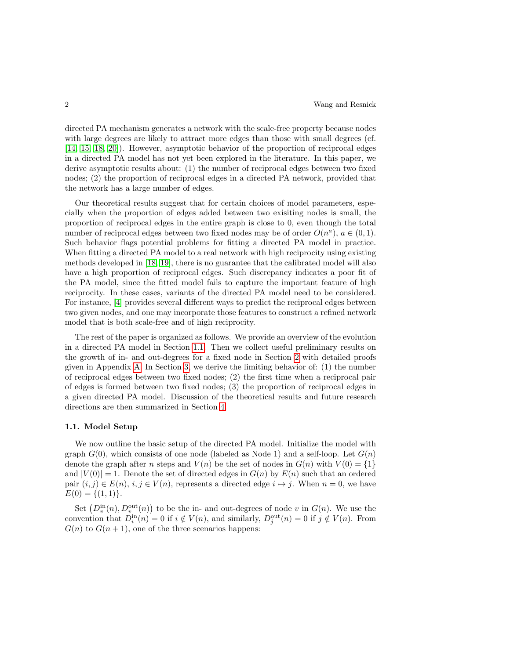directed PA mechanism generates a network with the scale-free property because nodes with large degrees are likely to attract more edges than those with small degrees (cf. [\[14,](#page-23-8) [15,](#page-23-9) [18,](#page-24-2) [20\]](#page-24-3)). However, asymptotic behavior of the proportion of reciprocal edges in a directed PA model has not yet been explored in the literature. In this paper, we derive asymptotic results about: (1) the number of reciprocal edges between two fixed nodes; (2) the proportion of reciprocal edges in a directed PA network, provided that the network has a large number of edges.

Our theoretical results suggest that for certain choices of model parameters, especially when the proportion of edges added between two exisiting nodes is small, the proportion of reciprocal edges in the entire graph is close to 0, even though the total number of reciprocal edges between two fixed nodes may be of order  $O(n^a)$ ,  $a \in (0,1)$ . Such behavior flags potential problems for fitting a directed PA model in practice. When fitting a directed PA model to a real network with high reciprocity using existing methods developed in [\[18,](#page-24-2) [19\]](#page-24-4), there is no guarantee that the calibrated model will also have a high proportion of reciprocal edges. Such discrepancy indicates a poor fit of the PA model, since the fitted model fails to capture the important feature of high reciprocity. In these cases, variants of the directed PA model need to be considered. For instance, [\[4\]](#page-23-10) provides several different ways to predict the reciprocal edges between two given nodes, and one may incorporate those features to construct a refined network model that is both scale-free and of high reciprocity.

The rest of the paper is organized as follows. We provide an overview of the evolution in a directed PA model in Section [1.1.](#page-1-0) Then we collect useful preliminary results on the growth of in- and out-degrees for a fixed node in Section [2](#page-3-0) with detailed proofs given in Appendix [A.](#page-15-0) In Section [3,](#page-4-0) we derive the limiting behavior of: (1) the number of reciprocal edges between two fixed nodes; (2) the first time when a reciprocal pair of edges is formed between two fixed nodes; (3) the proportion of reciprocal edges in a given directed PA model. Discussion of the theoretical results and future research directions are then summarized in Section [4.](#page-15-1)

#### <span id="page-1-0"></span>1.1. Model Setup

We now outline the basic setup of the directed PA model. Initialize the model with graph  $G(0)$ , which consists of one node (labeled as Node 1) and a self-loop. Let  $G(n)$ denote the graph after n steps and  $V(n)$  be the set of nodes in  $G(n)$  with  $V(0) = \{1\}$ and  $|V(0)| = 1$ . Denote the set of directed edges in  $G(n)$  by  $E(n)$  such that an ordered pair  $(i, j) \in E(n)$ ,  $i, j \in V(n)$ , represents a directed edge  $i \mapsto j$ . When  $n = 0$ , we have  $E(0) = \{(1, 1)\}.$ 

Set  $(D_v^{\text{in}}(n), D_v^{\text{out}}(n))$  to be the in- and out-degrees of node v in  $G(n)$ . We use the convention that  $D_i^{\text{in}}(n) = 0$  if  $i \notin V(n)$ , and similarly,  $D_j^{\text{out}}(n) = 0$  if  $j \notin V(n)$ . From  $G(n)$  to  $G(n + 1)$ , one of the three scenarios happens: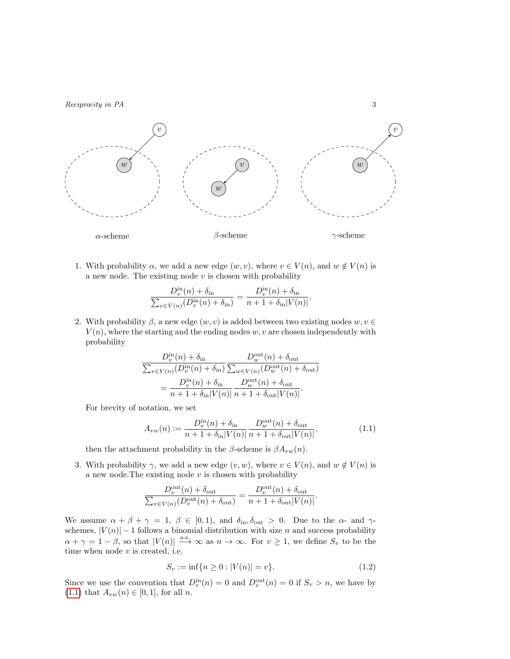

1. With probability  $\alpha$ , we add a new edge  $(w, v)$ , where  $v \in V(n)$ , and  $w \notin V(n)$  is a new node. The existing node  $v$  is chosen with probability

$$
\frac{D_v^{\text{in}}(n) + \delta_{\text{in}}}{\sum_{v \in V(n)} (D_v^{\text{in}}(n) + \delta_{\text{in}})} = \frac{D_v^{\text{in}}(n) + \delta_{\text{in}}}{n + 1 + \delta_{\text{in}} |V(n)|}.
$$

2. With probability  $\beta$ , a new edge  $(w, v)$  is added between two existing nodes  $w, v \in$  $V(n)$ , where the starting and the ending nodes w, v are chosen independently with probability

$$
\frac{D_v^{\text{in}}(n) + \delta_{\text{in}}}{\sum_{v \in V(n)} (D_v^{\text{in}}(n) + \delta_{\text{in}})} \frac{D_w^{\text{out}}(n) + \delta_{\text{out}}}{\sum_{w \in V(n)} (D_w^{\text{out}}(n) + \delta_{\text{out}})}
$$

$$
= \frac{D_v^{\text{in}}(n) + \delta_{\text{in}}}{n + 1 + \delta_{\text{in}} |V(n)|} \frac{D_w^{\text{out}}(n) + \delta_{\text{out}}}{n + 1 + \delta_{\text{out}} |V(n)|}.
$$

For brevity of notation, we set

<span id="page-2-0"></span>
$$
A_{vw}(n) := \frac{D_v^{\text{in}}(n) + \delta_{\text{in}}}{n + 1 + \delta_{\text{in}} |V(n)|} \frac{D_w^{\text{out}}(n) + \delta_{\text{out}}}{n + 1 + \delta_{\text{out}} |V(n)|},
$$
(1.1)

then the attachment probability in the  $\beta$ -scheme is  $\beta A_{vw}(n)$ .

3. With probability  $\gamma$ , we add a new edge  $(v, w)$ , where  $v \in V(n)$ , and  $w \notin V(n)$  is a new node. The existing node  $v$  is chosen with probability

$$
\frac{D_v^{\text{out}}(n) + \delta_{\text{out}}}{\sum_{v \in V(n)} (D_v^{\text{out}}(n) + \delta_{\text{out}})} = \frac{D_v^{\text{out}}(n) + \delta_{\text{out}}}{n + 1 + \delta_{\text{out}} |V(n)|}.
$$

We assume  $\alpha + \beta + \gamma = 1$ ,  $\beta \in [0, 1)$ , and  $\delta_{\text{in}}$ ,  $\delta_{\text{out}} > 0$ . Due to the  $\alpha$ - and  $\gamma$ schemes,  $|V(n)|-1$  follows a binomial distribution with size n and success probability  $\alpha + \gamma = 1 - \beta$ , so that  $|V(n)| \stackrel{\text{a.s.}}{\longrightarrow} \infty$  as  $n \to \infty$ . For  $v \ge 1$ , we define  $S_v$  to be the time when node  $v$  is created, i.e.

<span id="page-2-1"></span>
$$
S_v := \inf\{n \ge 0 : |V(n)| = v\}.
$$
\n(1.2)

Since we use the convention that  $D_v^{\text{in}}(n) = 0$  and  $D_v^{\text{out}}(n) = 0$  if  $S_v > n$ , we have by [\(1.1\)](#page-2-0) that  $A_{vw}(n) \in [0,1]$ , for all *n*.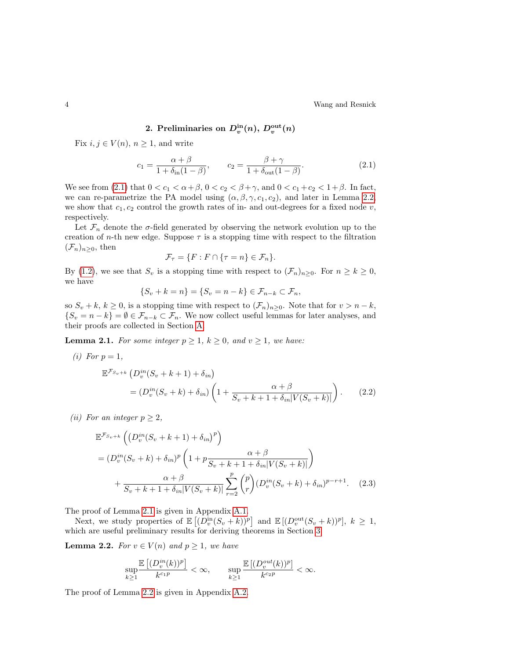4 Wang and Resnick

2. Preliminaries on 
$$
D_v^{\text{in}}(n)
$$
,  $D_v^{\text{out}}(n)$ 

<span id="page-3-0"></span>Fix  $i, j \in V(n)$ ,  $n \geq 1$ , and write

<span id="page-3-1"></span>
$$
c_1 = \frac{\alpha + \beta}{1 + \delta_{\text{in}}(1 - \beta)}, \qquad c_2 = \frac{\beta + \gamma}{1 + \delta_{\text{out}}(1 - \beta)}.
$$
\n(2.1)

We see from [\(2.1\)](#page-3-1) that  $0 < c_1 < \alpha + \beta$ ,  $0 < c_2 < \beta + \gamma$ , and  $0 < c_1 + c_2 < 1 + \beta$ . In fact, we can re-parametrize the PA model using  $(\alpha, \beta, \gamma, c_1, c_2)$ , and later in Lemma [2.2,](#page-3-2) we show that  $c_1, c_2$  control the growth rates of in- and out-degrees for a fixed node  $v$ , respectively.

Let  $\mathcal{F}_n$  denote the  $\sigma$ -field generated by observing the network evolution up to the creation of *n*-th new edge. Suppose  $\tau$  is a stopping time with respect to the filtration  $(\mathcal{F}_n)_{n\geq 0}$ , then

<span id="page-3-4"></span>
$$
\mathcal{F}_{\tau} = \{ F : F \cap \{ \tau = n \} \in \mathcal{F}_n \}.
$$

By [\(1.2\)](#page-2-1), we see that  $S_v$  is a stopping time with respect to  $(\mathcal{F}_n)_{n\geq 0}$ . For  $n \geq k \geq 0$ , we have

$$
\{S_v + k = n\} = \{S_v = n - k\} \in \mathcal{F}_{n-k} \subset \mathcal{F}_n,
$$

so  $S_v + k, k \ge 0$ , is a stopping time with respect to  $(\mathcal{F}_n)_{n \ge 0}$ . Note that for  $v > n - k$ ,  $\{S_v = n - k\} = \emptyset \in \mathcal{F}_{n-k} \subset \mathcal{F}_n$ . We now collect useful lemmas for later analyses, and their proofs are collected in Section [A.](#page-15-0)

<span id="page-3-3"></span>**Lemma 2.1.** For some integer  $p \ge 1$ ,  $k \ge 0$ , and  $v \ge 1$ , we have:

(i) For 
$$
p = 1
$$
,  
\n
$$
\mathbb{E}^{\mathcal{F}_{S_v+k}} (D_v^{in}(S_v + k + 1) + \delta_{in})
$$
\n
$$
= (D_v^{in}(S_v + k) + \delta_{in}) \left(1 + \frac{\alpha + \beta}{S_v + k + 1 + \delta_{in}|V(S_v + k)|}\right).
$$
\n(2.2)

(*ii*) For an integer  $p \geq 2$ ,

$$
\mathbb{E}^{\mathcal{F}_{S_v+k}}\left((D_v^{in}(S_v+k+1)+\delta_{in})^p\right)
$$
  
=  $(D_v^{in}(S_v+k)+\delta_{in})^p\left(1+p\frac{\alpha+\beta}{S_v+k+1+\delta_{in}|V(S_v+k)|}\right)$   
+  $\frac{\alpha+\beta}{S_v+k+1+\delta_{in}|V(S_v+k)|}\sum_{r=2}^p {p \choose r} (D_v^{in}(S_v+k)+\delta_{in})^{p-r+1}.$  (2.3)

The proof of Lemma [2.1](#page-3-3) is given in Appendix [A.1.](#page-15-2)

Next, we study properties of  $\mathbb{E}\left[ (D_v^{\text{in}}(S_v+k))^p \right]$  and  $\mathbb{E}\left[ (D_v^{\text{out}}(S_v+k))^p \right]$ ,  $k \geq 1$ , which are useful preliminary results for deriving theorems in Section [3.](#page-4-0)

**Lemma 2.2.** For  $v \in V(n)$  and  $p \geq 1$ , we have

<span id="page-3-5"></span><span id="page-3-2"></span>
$$
\sup_{k\geq 1}\frac{\mathbb{E}\left[(D^{in}_v(k))^p\right]}{k^{c_1p}}<\infty,\qquad \sup_{k\geq 1}\frac{\mathbb{E}\left[(D^{out}_v(k))^p\right]}{k^{c_2p}}<\infty.
$$

The proof of Lemma [2.2](#page-3-2) is given in Appendix [A.2.](#page-16-0)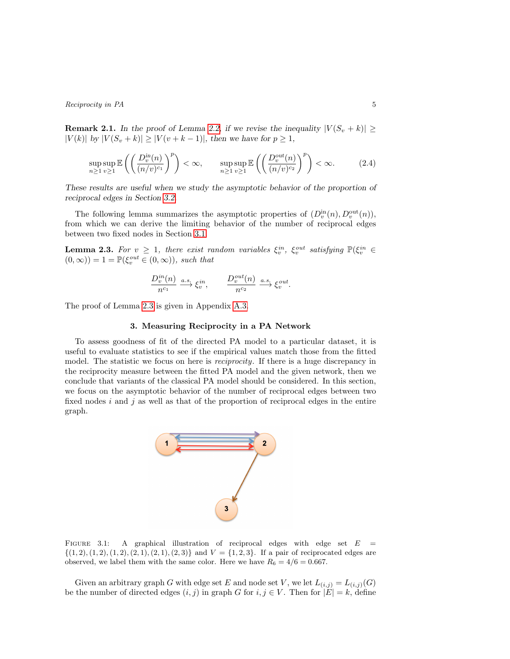**Remark 2.1.** In the proof of Lemma [2.2,](#page-3-2) if we revise the inequality  $|V(S_v + k)| \ge$  $|V(k)|$  by  $|V(S_v + k)| \ge |V(v + k - 1)|$ , then we have for  $p \ge 1$ ,

$$
\sup_{n\geq 1}\sup_{v\geq 1}\mathbb{E}\left(\left(\frac{D_v^{\text{in}}(n)}{(n/v)^{c_1}}\right)^p\right)<\infty,\qquad \sup_{n\geq 1}\sup_{v\geq 1}\mathbb{E}\left(\left(\frac{D_v^{\text{out}}(n)}{(n/v)^{c_2}}\right)^p\right)<\infty.\tag{2.4}
$$

These results are useful when we study the asymptotic behavior of the proportion of reciprocal edges in Section [3.2.](#page-11-0)

The following lemma summarizes the asymptotic properties of  $(D_v^{\text{in}}(n), D_v^{\text{out}}(n)),$ from which we can derive the limiting behavior of the number of reciprocal edges between two fixed nodes in Section [3.1.](#page-5-0)

**Lemma 2.3.** For  $v \geq 1$ , there exist random variables  $\xi_v^{in}$ ,  $\xi_v^{out}$  satisfying  $\mathbb{P}(\xi_v^{in} \in$  $(0, \infty)$  = 1 =  $\mathbb{P}(\xi_v^{out} \in (0, \infty))$ , such that

<span id="page-4-3"></span><span id="page-4-1"></span>
$$
\frac{D_v^{in}(n)}{n^{c_1}} \xrightarrow{a.s.} \xi_v^{in}, \qquad \frac{D_v^{out}(n)}{n^{c_2}} \xrightarrow{a.s.} \xi_v^{out}.
$$

<span id="page-4-0"></span>The proof of Lemma [2.3](#page-4-1) is given in Appendix [A.3.](#page-20-0)

### 3. Measuring Reciprocity in a PA Network

To assess goodness of fit of the directed PA model to a particular dataset, it is useful to evaluate statistics to see if the empirical values match those from the fitted model. The statistic we focus on here is *reciprocity*. If there is a huge discrepancy in the reciprocity measure between the fitted PA model and the given network, then we conclude that variants of the classical PA model should be considered. In this section, we focus on the asymptotic behavior of the number of reciprocal edges between two fixed nodes  $i$  and  $j$  as well as that of the proportion of reciprocal edges in the entire graph.



<span id="page-4-2"></span>FIGURE 3.1: A graphical illustration of reciprocal edges with edge set  $E =$  $\{(1, 2), (1, 2), (1, 2), (2, 1), (2, 1), (2, 3)\}$  and  $V = \{1, 2, 3\}$ . If a pair of reciprocated edges are observed, we label them with the same color. Here we have  $R_6 = 4/6 = 0.667$ .

Given an arbitrary graph G with edge set E and node set V, we let  $L_{(i,j)} = L_{(i,j)}(G)$ be the number of directed edges  $(i, j)$  in graph G for  $i, j \in V$ . Then for  $|E| = k$ , define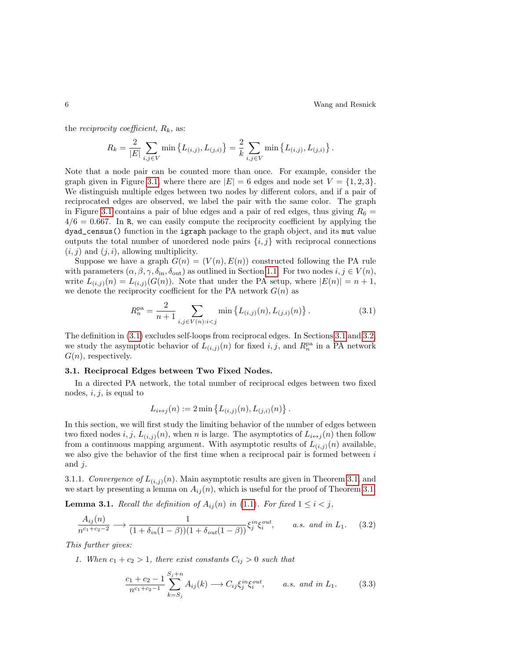the *reciprocity coefficient*,  $R_k$ , as:

$$
R_k = \frac{2}{|E|} \sum_{i,j \in V} \min \left\{ L_{(i,j)}, L_{(j,i)} \right\} = \frac{2}{k} \sum_{i,j \in V} \min \left\{ L_{(i,j)}, L_{(j,i)} \right\}.
$$

Note that a node pair can be counted more than once. For example, consider the graph given in Figure [3.1,](#page-4-2) where there are  $|E| = 6$  edges and node set  $V = \{1, 2, 3\}$ . We distinguish multiple edges between two nodes by different colors, and if a pair of reciprocated edges are observed, we label the pair with the same color. The graph in Figure [3.1](#page-4-2) contains a pair of blue edges and a pair of red edges, thus giving  $R_6 =$  $4/6 = 0.667$ . In R, we can easily compute the reciprocity coefficient by applying the dyad\_census() function in the igraph package to the graph object, and its mut value outputs the total number of unordered node pairs  $\{i, j\}$  with reciprocal connections  $(i, j)$  and  $(j, i)$ , allowing multiplicity.

Suppose we have a graph  $G(n) = (V(n), E(n))$  constructed following the PA rule with parameters  $(\alpha, \beta, \gamma, \delta_{\text{in}}, \delta_{\text{out}})$  as outlined in Section [1.1.](#page-1-0) For two nodes  $i, j \in V(n)$ , write  $L_{(i,j)}(n) = L_{(i,j)}(G(n))$ . Note that under the PA setup, where  $|E(n)| = n + 1$ , we denote the reciprocity coefficient for the PA network  $G(n)$  as

<span id="page-5-1"></span>
$$
R_n^{\text{pa}} = \frac{2}{n+1} \sum_{i,j \in V(n): i < j} \min \left\{ L_{(i,j)}(n), L_{(j,i)}(n) \right\}. \tag{3.1}
$$

The definition in [\(3.1\)](#page-5-1) excludes self-loops from reciprocal edges. In Sections [3.1](#page-5-0) and [3.2,](#page-11-0) we study the asymptotic behavior of  $L_{(i,j)}(n)$  for fixed i, j, and  $R_n^{\text{pa}}$  in a PA network  $G(n)$ , respectively.

### <span id="page-5-0"></span>3.1. Reciprocal Edges between Two Fixed Nodes.

In a directed PA network, the total number of reciprocal edges between two fixed nodes,  $i, j$ , is equal to

$$
L_{i \leftrightarrow j}(n) := 2 \min \{ L_{(i,j)}(n), L_{(j,i)}(n) \}.
$$

In this section, we will first study the limiting behavior of the number of edges between two fixed nodes i, j,  $L_{(i,j)}(n)$ , when n is large. The asymptotics of  $L_{i \leftrightarrow j}(n)$  then follow from a continuous mapping argument. With asymptotic results of  $L_{(i,j)}(n)$  available, we also give the behavior of the first time when a reciprocal pair is formed between i and  $j$ .

3.1.1. Convergence of  $L_{(i,j)}(n)$ . Main asymptotic results are given in Theorem [3.1,](#page-7-0) and we start by presenting a lemma on  $A_{ij}(n)$ , which is useful for the proof of Theorem [3.1.](#page-7-0)

<span id="page-5-4"></span>**Lemma 3.1.** Recall the definition of  $A_{ij}(n)$  in [\(1.1\)](#page-2-0). For fixed  $1 \leq i < j$ ,

<span id="page-5-2"></span>
$$
\frac{A_{ij}(n)}{n^{c_1+c_2-2}} \longrightarrow \frac{1}{(1+\delta_{in}(1-\beta))(1+\delta_{out}(1-\beta))} \xi_j^{in} \xi_i^{out}, \qquad a.s. \text{ and in } L_1. \tag{3.2}
$$

This further gives:

1. When  $c_1 + c_2 > 1$ , there exist constants  $C_{ij} > 0$  such that

<span id="page-5-3"></span>
$$
\frac{c_1 + c_2 - 1}{n^{c_1 + c_2 - 1}} \sum_{k = S_j}^{S_j + n} A_{ij}(k) \longrightarrow C_{ij} \xi_j^{in} \xi_i^{out}, \qquad a.s. \text{ and in } L_1. \tag{3.3}
$$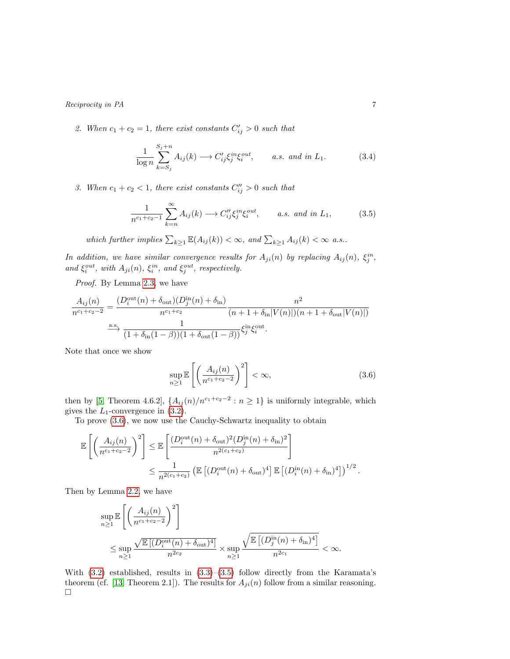2. When  $c_1 + c_2 = 1$ , there exist constants  $C'_{ij} > 0$  such that

<span id="page-6-2"></span>
$$
\frac{1}{\log n} \sum_{k=S_j}^{S_j+n} A_{ij}(k) \longrightarrow C'_{ij} \xi_j^{in} \xi_i^{out}, \qquad a.s. \text{ and in } L_1.
$$
 (3.4)

3. When  $c_1 + c_2 < 1$ , there exist constants  $C''_{ij} > 0$  such that

<span id="page-6-1"></span>
$$
\frac{1}{n^{c_1+c_2-1}}\sum_{k=n}^{\infty}A_{ij}(k)\longrightarrow C''_{ij}\xi_j^{in}\xi_i^{out}, \qquad a.s. \text{ and in } L_1,\tag{3.5}
$$

which further implies  $\sum_{k\geq 1} \mathbb{E}(A_{ij}(k)) < \infty$ , and  $\sum_{k\geq 1} A_{ij}(k) < \infty$  a.s..

In addition, we have similar convergence results for  $A_{ji}(n)$  by replacing  $A_{ij}(n)$ ,  $\xi_j^{in}$ , and  $\xi_i^{out}$ , with  $A_{ji}(n)$ ,  $\xi_i^{in}$ , and  $\xi_j^{out}$ , respectively.

Proof. By Lemma [2.3,](#page-4-1) we have

$$
\frac{A_{ij}(n)}{n^{c_1+c_2-2}} = \frac{(D_i^{\text{out}}(n) + \delta_{\text{out}})(D_j^{\text{in}}(n) + \delta_{\text{in}})}{n^{c_1+c_2}} \frac{n^2}{(n+1+\delta_{\text{in}}|V(n)|)(n+1+\delta_{\text{out}}|V(n)|)}
$$
  

$$
\xrightarrow{\text{a.s.}} \frac{1}{(1+\delta_{\text{in}}(1-\beta))(1+\delta_{\text{out}}(1-\beta))} \xi_j^{\text{in}} \xi_i^{\text{out}}.
$$

Note that once we show

<span id="page-6-0"></span>
$$
\sup_{n\geq 1} \mathbb{E}\left[\left(\frac{A_{ij}(n)}{n^{c_1+c_2-2}}\right)^2\right] < \infty,\tag{3.6}
$$

then by [\[5,](#page-23-11) Theorem 4.6.2],  $\{A_{ij}(n)/n^{c_1+c_2-2} : n \geq 1\}$  is uniformly integrable, which gives the  $L_1$ -convergence in  $(3.2)$ .

To prove [\(3.6\)](#page-6-0), we now use the Cauchy-Schwartz inequality to obtain

$$
\mathbb{E}\left[\left(\frac{A_{ij}(n)}{n^{c_1+c_2-2}}\right)^2\right] \leq \mathbb{E}\left[\frac{(D_i^{\text{out}}(n) + \delta_{\text{out}})^2(D_j^{\text{in}}(n) + \delta_{\text{in}})^2}{n^{2(c_1+c_2)}}\right]
$$
  

$$
\leq \frac{1}{n^{2(c_1+c_2)}} \left(\mathbb{E}\left[(D_i^{\text{out}}(n) + \delta_{\text{out}})^4\right]\mathbb{E}\left[(D_i^{\text{in}}(n) + \delta_{\text{in}})^4\right]\right)^{1/2}.
$$

Then by Lemma [2.2,](#page-3-2) we have

$$
\sup_{n\geq 1} \mathbb{E}\left[\left(\frac{A_{ij}(n)}{n^{c_1+c_2-2}}\right)^2\right]
$$
  

$$
\leq \sup_{n\geq 1} \frac{\sqrt{\mathbb{E}\left[(D_i^{\text{out}}(n) + \delta_{\text{out}})^4\right]}}{n^{2c_2}} \times \sup_{n\geq 1} \frac{\sqrt{\mathbb{E}\left[(D_j^{\text{in}}(n) + \delta_{\text{in}})^4\right]}}{n^{2c_1}} < \infty.
$$

With  $(3.2)$  established, results in  $(3.3)$ – $(3.5)$  follow directly from the Karamata's theorem (cf. [\[13,](#page-23-12) Theorem 2.1]). The results for  $A_{ji}(n)$  follow from a similar reasoning.  $\Box$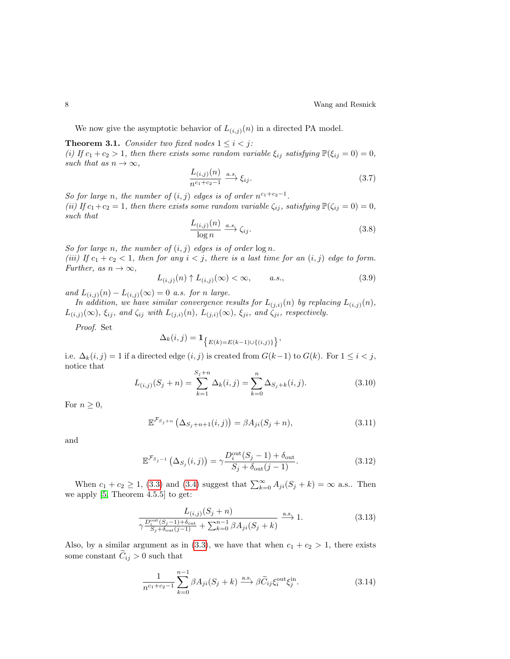We now give the asymptotic behavior of  $L_{(i,j)}(n)$  in a directed PA model.

<span id="page-7-0"></span>**Theorem 3.1.** Consider two fixed nodes  $1 \leq i < j$ : (i) If  $c_1 + c_2 > 1$ , then there exists some random variable  $\xi_{ij}$  satisfying  $\mathbb{P}(\xi_{ij} = 0) = 0$ , such that as  $n \to \infty$ ,

$$
\frac{L_{(i,j)}(n)}{n^{c_1+c_2-1}} \xrightarrow{a.s.} \xi_{ij}.
$$
\n(3.7)

So for large n, the number of  $(i, j)$  edges is of order  $n^{c_1+c_2-1}$ . (ii) If  $c_1+c_2=1$ , then there exists some random variable  $\zeta_{ij}$ , satisfying  $\mathbb{P}(\zeta_{ij}=0)=0$ , such that

$$
\frac{L_{(i,j)}(n)}{\log n} \xrightarrow{a.s.} \zeta_{ij}.
$$
\n(3.8)

So for large n, the number of  $(i, j)$  edges is of order  $\log n$ . (iii) If  $c_1 + c_2 < 1$ , then for any  $i < j$ , there is a last time for an  $(i, j)$  edge to form. Further, as  $n \to \infty$ ,

$$
L_{(i,j)}(n) \uparrow L_{(i,j)}(\infty) < \infty, \qquad a.s., \tag{3.9}
$$

and  $L_{(i,j)}(n) - L_{(i,j)}(\infty) = 0$  a.s. for n large.

In addition, we have similar convergence results for  $L_{(j,i)}(n)$  by replacing  $L_{(i,j)}(n)$ ,  $L_{(i,j)}(\infty)$ ,  $\xi_{ij}$ , and  $\zeta_{ij}$  with  $L_{(j,i)}(n)$ ,  $L_{(j,i)}(\infty)$ ,  $\xi_{ji}$ , and  $\zeta_{ji}$ , respectively.

Proof. Set

$$
\Delta_k(i,j) = \mathbf{1}_{\{E(k) = E(k-1) \cup \{(i,j)\}}.
$$

i.e.  $\Delta_k(i,j) = 1$  if a directed edge  $(i, j)$  is created from  $G(k-1)$  to  $G(k)$ . For  $1 \leq i < j$ , notice that  $\sigma$ 

$$
L_{(i,j)}(S_j + n) = \sum_{k=1}^{S_j + n} \Delta_k(i,j) = \sum_{k=0}^{n} \Delta_{S_j + k}(i,j).
$$
 (3.10)

For  $n \geq 0$ ,

$$
\mathbb{E}^{\mathcal{F}_{S_j+n}}\left(\Delta_{S_j+n+1}(i,j)\right) = \beta A_{ji}(S_j+n),\tag{3.11}
$$

and

$$
\mathbb{E}^{\mathcal{F}_{S_j-1}}\left(\Delta_{S_j}(i,j)\right) = \gamma \frac{D_i^{\text{out}}(S_j-1) + \delta_{\text{out}}}{S_j + \delta_{\text{out}}(j-1)}.\tag{3.12}
$$

When  $c_1 + c_2 \ge 1$ , [\(3.3\)](#page-5-3) and [\(3.4\)](#page-6-2) suggest that  $\sum_{k=0}^{\infty} A_{ji}(S_j + k) = \infty$  a.s.. Then we apply [\[5,](#page-23-11) Theorem 4.5.5] to get:

<span id="page-7-1"></span>
$$
\frac{L_{(i,j)}(S_j + n)}{\gamma \frac{D_i^{\text{out}}(S_j - 1) + \delta_{\text{out}}}{S_j + \delta_{\text{out}}(j - 1)} + \sum_{k=0}^{n-1} \beta A_{ji}(S_j + k)} \xrightarrow{\text{a.s.}} 1.
$$
\n(3.13)

Also, by a similar argument as in [\(3.3\)](#page-5-3), we have that when  $c_1 + c_2 > 1$ , there exists some constant  $\tilde{C}_{ij} > 0$  such that

<span id="page-7-2"></span>
$$
\frac{1}{n^{c_1+c_2-1}}\sum_{k=0}^{n-1}\beta A_{ji}(S_j+k)\stackrel{\text{a.s.}}{\longrightarrow}\beta\widetilde{C}_{ij}\xi_i^{\text{out}}\xi_j^{\text{in}}.
$$
 (3.14)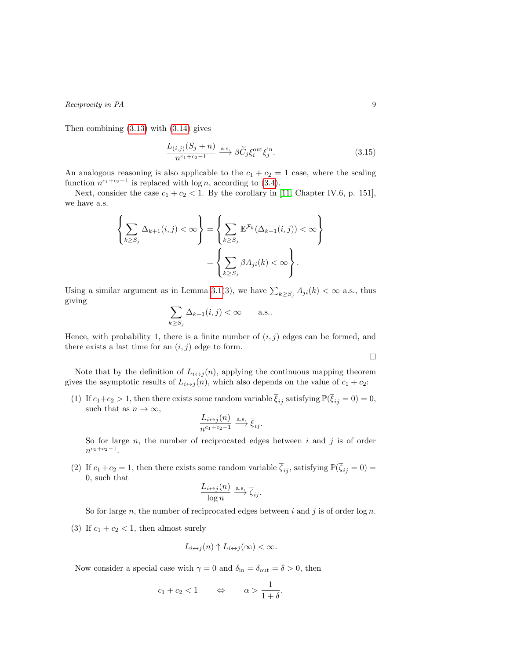Then combining [\(3.13\)](#page-7-1) with [\(3.14\)](#page-7-2) gives

<span id="page-8-0"></span>
$$
\frac{L_{(i,j)}(S_j + n)}{n^{c_1 + c_2 - 1}} \xrightarrow{\text{a.s.}} \beta \widetilde{C}_j \xi_i^{\text{out}} \xi_j^{\text{in}}.
$$
\n(3.15)

An analogous reasoning is also applicable to the  $c_1 + c_2 = 1$  case, where the scaling function  $n^{c_1+c_2-1}$  is replaced with  $\log n$ , according to [\(3.4\)](#page-6-2).

Next, consider the case  $c_1 + c_2 < 1$ . By the corollary in [\[11,](#page-23-13) Chapter IV.6, p. 151], we have a.s.

$$
\left\{\sum_{k\geq S_j}\Delta_{k+1}(i,j)<\infty\right\}=\left\{\sum_{k\geq S_j}\mathbb{E}^{\mathcal{F}_k}(\Delta_{k+1}(i,j))<\infty\right\}
$$
\n
$$
=\left\{\sum_{k\geq S_j}\beta A_{ji}(k)<\infty\right\}.
$$

Using a similar argument as in Lemma [3.1\(](#page-5-4)3), we have  $\sum_{k\geq S_j} A_{ji}(k) < \infty$  a.s., thus giving

$$
\sum_{k\geq S_j} \Delta_{k+1}(i,j) < \infty \qquad \text{a.s..}
$$

Hence, with probability 1, there is a finite number of  $(i, j)$  edges can be formed, and there exists a last time for an  $(i, j)$  edge to form.

 $\hfill \square$ 

Note that by the definition of  $L_{i \leftrightarrow j}(n)$ , applying the continuous mapping theorem gives the asymptotic results of  $L_{i \leftrightarrow j}(n)$ , which also depends on the value of  $c_1 + c_2$ :

(1) If  $c_1+c_2>1$ , then there exists some random variable  $\overline{\xi}_{ij}$  satisfying  $\mathbb{P}(\overline{\xi}_{ij}=0)=0$ , such that as  $n \to \infty$ ,

$$
\frac{L_{i \leftrightarrow j}(n)}{n^{c_1+c_2-1}} \xrightarrow{\text{a.s.}} \overline{\xi}_{ij}.
$$

So for large  $n$ , the number of reciprocated edges between  $i$  and  $j$  is of order  $n^{c_1+c_2-1}$ .

(2) If  $c_1 + c_2 = 1$ , then there exists some random variable  $\overline{\zeta}_{ij}$ , satisfying  $\mathbb{P}(\overline{\zeta}_{ij} = 0) =$ 0, such that

$$
\frac{L_{i \leftrightarrow j}(n)}{\log n} \xrightarrow{\text{a.s.}} \overline{\zeta}_{ij}.
$$

So for large n, the number of reciprocated edges between i and j is of order  $\log n$ .

(3) If  $c_1 + c_2 < 1$ , then almost surely

$$
L_{i \leftrightarrow j}(n) \uparrow L_{i \leftrightarrow j}(\infty) < \infty.
$$

Now consider a special case with  $\gamma = 0$  and  $\delta_{\rm in} = \delta_{\rm out} = \delta > 0$ , then

$$
c_1 + c_2 < 1 \qquad \Leftrightarrow \qquad \alpha > \frac{1}{1 + \delta}.
$$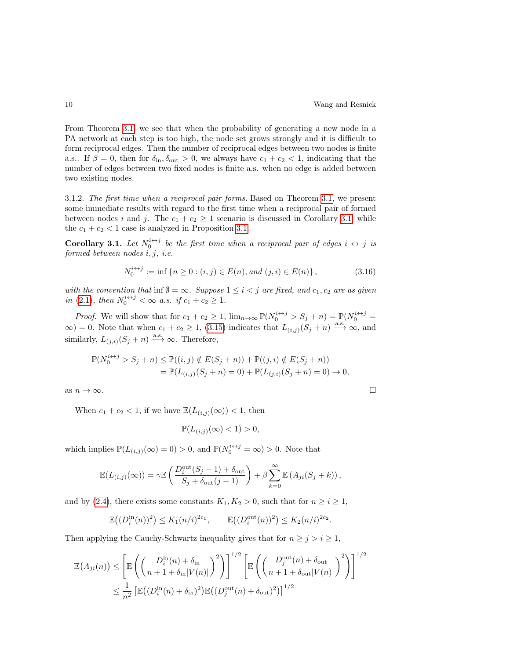From Theorem [3.1,](#page-7-0) we see that when the probability of generating a new node in a PA network at each step is too high, the node set grows strongly and it is difficult to form reciprocal edges. Then the number of reciprocal edges between two nodes is finite a.s.. If  $\beta = 0$ , then for  $\delta_{\rm in}$ ,  $\delta_{\rm out} > 0$ , we always have  $c_1 + c_2 < 1$ , indicating that the number of edges between two fixed nodes is finite a.s. when no edge is added between two existing nodes.

3.1.2. The first time when a reciprocal pair forms. Based on Theorem [3.1,](#page-7-0) we present some immediate results with regard to the first time when a reciprocal pair of formed between nodes i and j. The  $c_1 + c_2 \geq 1$  scenario is discussed in Corollary [3.1,](#page-9-0) while the  $c_1 + c_2 < 1$  case is analyzed in Proposition [3.1.](#page-10-0)

<span id="page-9-0"></span>**Corollary 3.1.** Let  $N_0^{i \leftrightarrow j}$  be the first time when a reciprocal pair of edges  $i \leftrightarrow j$  is formed between nodes  $i, j, i.e.$ 

$$
N_0^{i \leftrightarrow j} := \inf \{ n \ge 0 : (i, j) \in E(n), and (j, i) \in E(n) \},
$$
\n(3.16)

with the convention that inf  $\emptyset = \infty$ . Suppose  $1 \leq i < j$  are fixed, and  $c_1, c_2$  are as given in [\(2.1\)](#page-3-1), then  $N_0^{i \leftrightarrow j} < \infty$  a.s. if  $c_1 + c_2 \ge 1$ .

*Proof.* We will show that for  $c_1 + c_2 \geq 1$ ,  $\lim_{n \to \infty} \mathbb{P}(N_0^{i \leftrightarrow j} > S_j + n) = \mathbb{P}(N_0^{i \leftrightarrow j} =$  $\infty$ ) = 0. Note that when  $c_1 + c_2 \ge 1$ , [\(3.15\)](#page-8-0) indicates that  $L_{(i,j)}(S_j + n) \stackrel{\text{a.s.}}{\longrightarrow} \infty$ , and similarly,  $L_{(j,i)}(S_j + n) \stackrel{\text{a.s.}}{\longrightarrow} \infty$ . Therefore,

$$
\mathbb{P}(N_0^{i \leftrightarrow j} > S_j + n) \le \mathbb{P}((i, j) \notin E(S_j + n)) + \mathbb{P}((j, i) \notin E(S_j + n))
$$
  
=  $\mathbb{P}(L_{(i,j)}(S_j + n) = 0) + \mathbb{P}(L_{(j,i)}(S_j + n) = 0) \to 0,$ 

as  $n \to \infty$ .

When  $c_1 + c_2 < 1$ , if we have  $\mathbb{E}(L_{(i,j)}(\infty)) < 1$ , then

$$
\mathbb{P}(L_{(i,j)}(\infty) < 1) > 0,
$$

which implies  $\mathbb{P}(L_{(i,j)}(\infty) = 0) > 0$ , and  $\mathbb{P}(N_0^{i \leftrightarrow j} = \infty) > 0$ . Note that

$$
\mathbb{E}(L_{(i,j)}(\infty)) = \gamma \mathbb{E}\left(\frac{D_i^{\text{out}}(S_j - 1) + \delta_{\text{out}}}{S_j + \delta_{\text{out}}(j - 1)}\right) + \beta \sum_{k=0}^{\infty} \mathbb{E}\left(A_{ji}(S_j + k)\right),
$$

and by [\(2.4\)](#page-4-3), there exists some constants  $K_1, K_2 > 0$ , such that for  $n \geq i \geq 1$ ,

$$
\mathbb{E}\big((D_i^{\text{in}}(n))^2\big) \le K_1(n/i)^{2c_1}, \qquad \mathbb{E}\big((D_i^{\text{out}}(n))^2\big) \le K_2(n/i)^{2c_2}.
$$

Then applying the Cauchy-Schwartz inequality gives that for  $n \geq j > i \geq 1$ ,

$$
\mathbb{E}(A_{ji}(n)) \leq \left[ \mathbb{E}\left( \left( \frac{D_i^{\text{in}}(n) + \delta_{\text{in}}}{n + 1 + \delta_{\text{in}}|V(n)|} \right)^2 \right) \right]^{1/2} \left[ \mathbb{E}\left( \left( \frac{D_j^{\text{out}}(n) + \delta_{\text{out}}}{n + 1 + \delta_{\text{out}}|V(n)|} \right)^2 \right) \right]^{1/2} \n\leq \frac{1}{n^2} \left[ \mathbb{E}\left( (D_i^{\text{in}}(n) + \delta_{\text{in}})^2 \right) \mathbb{E}\left( (D_j^{\text{out}}(n) + \delta_{\text{out}})^2 \right) \right]^{1/2}
$$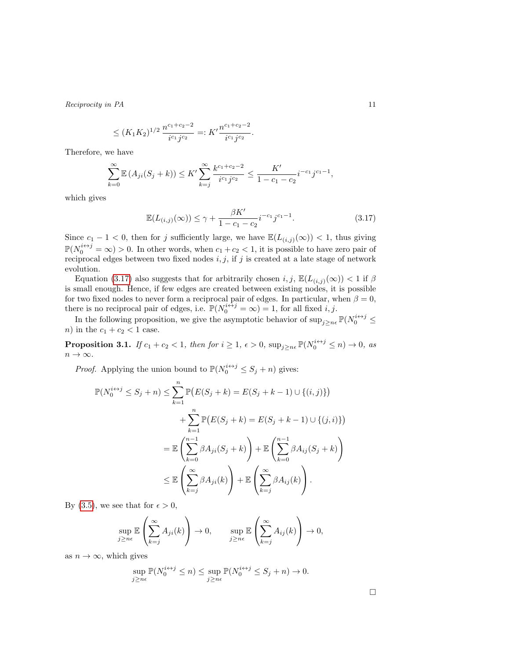$$
\leq (K_1K_2)^{1/2} \frac{n^{c_1+c_2-2}}{i^{c_1}j^{c_2}} =: K' \frac{n^{c_1+c_2-2}}{i^{c_1}j^{c_2}}.
$$

Therefore, we have

$$
\sum_{k=0}^{\infty} \mathbb{E} \left( A_{ji}(S_j + k) \right) \le K' \sum_{k=j}^{\infty} \frac{k^{c_1 + c_2 - 2}}{i^{c_1} j^{c_2}} \le \frac{K'}{1 - c_1 - c_2} i^{-c_1} j^{c_1 - 1},
$$

which gives

<span id="page-10-1"></span>
$$
\mathbb{E}(L_{(i,j)}(\infty)) \le \gamma + \frac{\beta K'}{1 - c_1 - c_2} i^{-c_1} j^{c_1 - 1}.
$$
\n(3.17)

Since  $c_1 - 1 < 0$ , then for j sufficiently large, we have  $\mathbb{E}(L_{(i,j)}(\infty)) < 1$ , thus giving  $\mathbb{P}(N_0^{i\leftrightarrow j} = \infty) > 0$ . In other words, when  $c_1 + c_2 < 1$ , it is possible to have zero pair of reciprocal edges between two fixed nodes  $i, j$ , if j is created at a late stage of network evolution.

Equation [\(3.17\)](#page-10-1) also suggests that for arbitrarily chosen  $i, j$ ,  $\mathbb{E}(L_{(i,j)}(\infty)) < 1$  if  $\beta$ is small enough. Hence, if few edges are created between existing nodes, it is possible for two fixed nodes to never form a reciprocal pair of edges. In particular, when  $\beta = 0$ , there is no reciprocal pair of edges, i.e.  $\mathbb{P}(N_0^{i \leftrightarrow j} = \infty) = 1$ , for all fixed *i*, *j*.

In the following proposition, we give the asymptotic behavior of  $\sup_{j\geq n\epsilon} \mathbb{P}(N_0^{i\leftrightarrow j} \leq$ *n*) in the  $c_1 + c_2 < 1$  case.

**Proposition 3.1.** If  $c_1 + c_2 < 1$ , then for  $i \geq 1$ ,  $\epsilon > 0$ ,  $\sup_{j \geq n\epsilon} \mathbb{P}(N_0^{i \leftrightarrow j} \leq n) \to 0$ , as  $n \to \infty$ .

*Proof.* Applying the union bound to  $\mathbb{P}(N_0^{i \leftrightarrow j} \leq S_j + n)$  gives:

<span id="page-10-0"></span>
$$
\mathbb{P}(N_0^{i \leftrightarrow j} \leq S_j + n) \leq \sum_{k=1}^n \mathbb{P}\big(E(S_j + k) = E(S_j + k - 1) \cup \{(i, j)\}\big) \n+ \sum_{k=1}^n \mathbb{P}\big(E(S_j + k) = E(S_j + k - 1) \cup \{(j, i)\}\big) \n= \mathbb{E}\left(\sum_{k=0}^{n-1} \beta A_{ji}(S_j + k)\right) + \mathbb{E}\left(\sum_{k=0}^{n-1} \beta A_{ij}(S_j + k)\right) \n\leq \mathbb{E}\left(\sum_{k=j}^{\infty} \beta A_{ji}(k)\right) + \mathbb{E}\left(\sum_{k=j}^{\infty} \beta A_{ij}(k)\right).
$$

By [\(3.5\)](#page-6-1), we see that for  $\epsilon > 0$ ,

$$
\sup_{j\geq n\epsilon} \mathbb{E}\left(\sum_{k=j}^{\infty} A_{ji}(k)\right) \to 0, \qquad \sup_{j\geq n\epsilon} \mathbb{E}\left(\sum_{k=j}^{\infty} A_{ij}(k)\right) \to 0,
$$

as  $n \to \infty$ , which gives

$$
\sup_{j\geq n\epsilon} \mathbb{P}(N_0^{i\leftrightarrow j}\leq n) \leq \sup_{j\geq n\epsilon} \mathbb{P}(N_0^{i\leftrightarrow j}\leq S_j+n) \to 0.
$$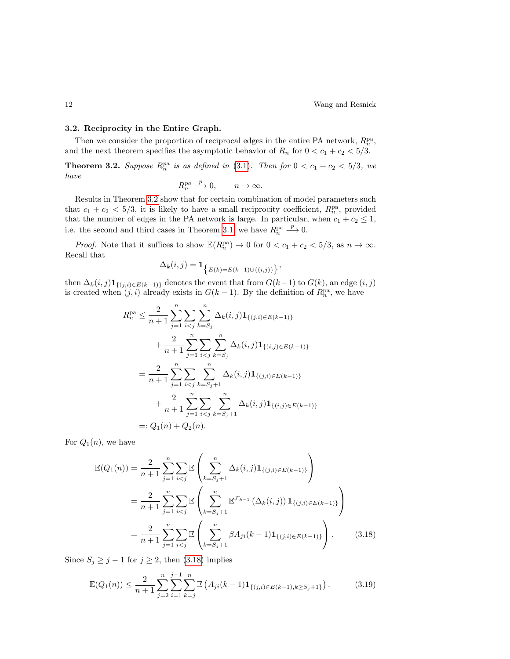### <span id="page-11-0"></span>3.2. Reciprocity in the Entire Graph.

Then we consider the proportion of reciprocal edges in the entire PA network,  $R_n^{\text{pa}}$ , and the next theorem specifies the asymptotic behavior of  $R_n$  for  $0 < c_1 + c_2 < 5/3$ .

**Theorem 3.2.** Suppose  $R_n^{pa}$  is as defined in [\(3.1\)](#page-5-1). Then for  $0 < c_1 + c_2 < 5/3$ , we have

<span id="page-11-1"></span>
$$
R_n^{pa} \xrightarrow{p} 0, \qquad n \to \infty.
$$

Results in Theorem [3.2](#page-11-1) show that for certain combination of model parameters such that  $c_1 + c_2 < 5/3$ , it is likely to have a small reciprocity coefficient,  $R_n^{\text{pa}}$ , provided that the number of edges in the PA network is large. In particular, when  $c_1 + c_2 \leq 1$ , i.e. the second and third cases in Theorem [3.1,](#page-7-0) we have  $R_n^{\text{pa}}$  $\stackrel{p}{\longrightarrow} 0.$ 

*Proof.* Note that it suffices to show  $\mathbb{E}(R_n^{\text{pa}}) \to 0$  for  $0 < c_1 + c_2 < 5/3$ , as  $n \to \infty$ . Recall that

$$
\Delta_k(i,j) = \mathbf{1}_{\{E(k) = E(k-1) \cup \{(i,j)\}}\},\,
$$

then  $\Delta_k(i,j) \mathbf{1}_{\{(j,i)\in E(k-1)\}}$  denotes the event that from  $G(k-1)$  to  $G(k)$ , an edge  $(i, j)$ is created when  $(j, i)$  already exists in  $G(k-1)$ . By the definition of  $R_n^{\text{pa}}$ , we have

$$
R_n^{\text{pa}} \leq \frac{2}{n+1} \sum_{j=1}^n \sum_{i < j} \sum_{k=S_j}^n \Delta_k(i,j) \mathbf{1}_{\{(j,i) \in E(k-1)\}}
$$
  
+ 
$$
\frac{2}{n+1} \sum_{j=1}^n \sum_{i < j} \sum_{k=S_j}^n \Delta_k(i,j) \mathbf{1}_{\{(i,j) \in E(k-1)\}}
$$
  
= 
$$
\frac{2}{n+1} \sum_{j=1}^n \sum_{i < j} \sum_{k=S_j+1}^n \Delta_k(i,j) \mathbf{1}_{\{(j,i) \in E(k-1)\}}
$$
  
+ 
$$
\frac{2}{n+1} \sum_{j=1}^n \sum_{i < j} \sum_{k=S_j+1}^n \Delta_k(i,j) \mathbf{1}_{\{(i,j) \in E(k-1)\}}
$$
  
=: 
$$
Q_1(n) + Q_2(n).
$$

For  $Q_1(n)$ , we have

<span id="page-11-2"></span>
$$
\mathbb{E}(Q_1(n)) = \frac{2}{n+1} \sum_{j=1}^n \sum_{i < j} \mathbb{E}\left(\sum_{k=S_j+1}^n \Delta_k(i,j) \mathbf{1}_{\{(j,i) \in E(k-1)\}}\right)
$$
\n
$$
= \frac{2}{n+1} \sum_{j=1}^n \sum_{i < j} \mathbb{E}\left(\sum_{k=S_j+1}^n \mathbb{E}^{\mathcal{F}_{k-1}}\left(\Delta_k(i,j)\right) \mathbf{1}_{\{(j,i) \in E(k-1)\}}\right)
$$
\n
$$
= \frac{2}{n+1} \sum_{j=1}^n \sum_{i < j} \mathbb{E}\left(\sum_{k=S_j+1}^n \beta A_{ji}(k-1) \mathbf{1}_{\{(j,i) \in E(k-1)\}}\right). \tag{3.18}
$$

Since  $S_j \geq j - 1$  for  $j \geq 2$ , then [\(3.18\)](#page-11-2) implies

<span id="page-11-3"></span>
$$
\mathbb{E}(Q_1(n)) \le \frac{2}{n+1} \sum_{j=2}^n \sum_{i=1}^j \sum_{k=j}^n \mathbb{E}\left(A_{ji}(k-1) \mathbf{1}_{\{(j,i)\in E(k-1), k \ge S_j+1\}}\right). \tag{3.19}
$$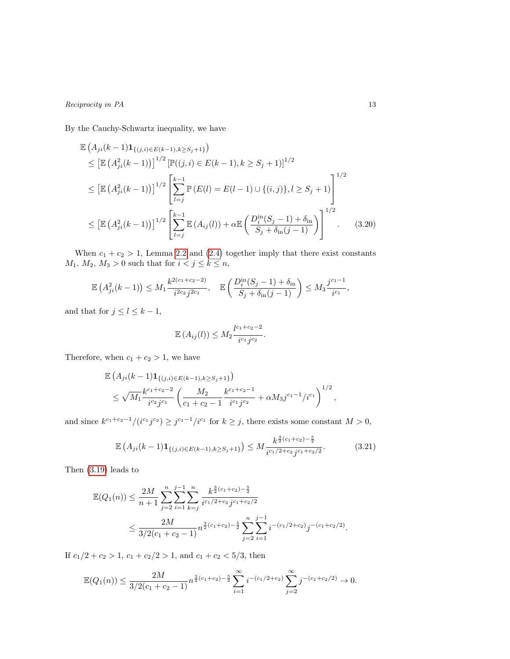By the Cauchy-Schwartz inequality, we have

$$
\mathbb{E}\left(A_{ji}(k-1)\mathbf{1}_{\{(j,i)\in E(k-1),k\geq S_j+1\}}\right)
$$
\n
$$
\leq \left[\mathbb{E}\left(A_{ji}^2(k-1)\right)\right]^{1/2} \left[\mathbb{P}((j,i)\in E(k-1),k\geq S_j+1)\right]^{1/2}
$$
\n
$$
\leq \left[\mathbb{E}\left(A_{ji}^2(k-1)\right)\right]^{1/2} \left[\sum_{l=j}^{k-1} \mathbb{P}\left(E(l)=E(l-1)\cup\{(i,j)\},l\geq S_j+1\right)\right]^{1/2}
$$
\n
$$
\leq \left[\mathbb{E}\left(A_{ji}^2(k-1)\right)\right]^{1/2} \left[\sum_{l=j}^{k-1} \mathbb{E}\left(A_{ij}(l)\right) + \alpha \mathbb{E}\left(\frac{D_i^{in}(S_j-1)+\delta_{in}}{S_j+\delta_{in}(j-1)}\right)\right]^{1/2}.
$$
\n(3.20)

When  $c_1 + c_2 > 1$ , Lemma [2.2](#page-3-2) and [\(2.4\)](#page-4-3) together imply that there exist constants  $M_1, M_2, M_3 > 0$  such that for  $i < j \leq k \leq n$ ,

$$
\mathbb{E}\left(A_{ji}^2(k-1)\right) \le M_1 \frac{k^{2(c_1+c_2-2)}}{i^{2c_2}j^{2c_1}}, \quad \mathbb{E}\left(\frac{D_i^{\text{in}}(S_j-1)+\delta_{\text{in}}}{S_j+\delta_{\text{in}}(j-1)}\right) \le M_3 \frac{j^{c_1-1}}{i^{c_1}},
$$

and that for  $j \leq l \leq k-1$ ,

<span id="page-12-1"></span><span id="page-12-0"></span>
$$
\mathbb{E}\left(A_{ij}(l)\right) \leq M_2 \frac{l^{c_1+c_2-2}}{i^{c_1}j^{c_2}}.
$$

Therefore, when  $c_1 + c_2 > 1$ , we have

$$
\mathbb{E}\left(A_{ji}(k-1)\mathbf{1}_{\{(j,i)\in E(k-1),k\geq S_j+1\}}\right) \n\leq \sqrt{M_1}\frac{k^{c_1+c_2-2}}{i^{c_2}j^{c_1}}\left(\frac{M_2}{c_1+c_2-1}\frac{k^{c_1+c_2-1}}{i^{c_1}j^{c_2}}+\alpha M_3j^{c_1-1}/i^{c_1}\right)^{1/2},
$$

and since  $k^{c_1+c_2-1}/(i^{c_1}j^{c_2}) \geq j^{c_1-1}/i^{c_1}$  for  $k \geq j$ , there exists some constant  $M > 0$ ,

$$
\mathbb{E}\left(A_{ji}(k-1)\mathbf{1}_{\{(j,i)\in E(k-1),k\geq S_j+1\}}\right) \leq M \frac{k^{\frac{3}{2}(c_1+c_2)-\frac{5}{2}}}{i^{c_1/2+c_2}j^{c_1+c_2/2}}.\tag{3.21}
$$

Then [\(3.19\)](#page-11-3) leads to

$$
\mathbb{E}(Q_1(n)) \leq \frac{2M}{n+1} \sum_{j=2}^n \sum_{i=1}^n \sum_{k=j}^n \frac{k^{\frac{3}{2}(c_1+c_2)-\frac{5}{2}}}{i^{c_1/2+c_2}j^{c_1+c_2/2}} \leq \frac{2M}{3/2(c_1+c_2-1)} n^{\frac{3}{2}(c_1+c_2)-\frac{5}{2}} \sum_{j=2}^n \sum_{i=1}^{j-1} i^{-(c_1/2+c_2)} j^{-(c_1+c_2/2)}.
$$

If  $c_1/2 + c_2 > 1$ ,  $c_1 + c_2/2 > 1$ , and  $c_1 + c_2 < 5/3$ , then

$$
\mathbb{E}(Q_1(n)) \le \frac{2M}{3/2(c_1+c_2-1)} n^{\frac{3}{2}(c_1+c_2)-\frac{5}{2}} \sum_{i=1}^{\infty} i^{-(c_1/2+c_2)} \sum_{j=2}^{\infty} j^{-(c_1+c_2/2)} \to 0.
$$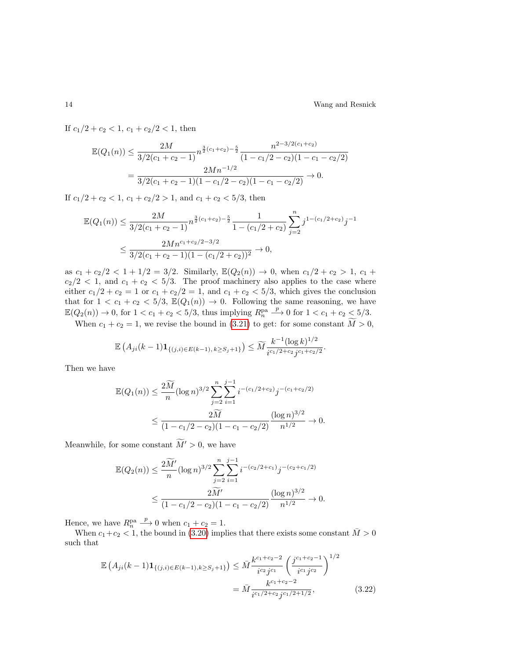If  $c_1/2 + c_2 < 1$ ,  $c_1 + c_2/2 < 1$ , then

$$
\mathbb{E}(Q_1(n)) \le \frac{2M}{3/2(c_1 + c_2 - 1)} n^{\frac{3}{2}(c_1 + c_2) - \frac{5}{2}} \frac{n^{2-3/2(c_1 + c_2)}}{(1 - c_1/2 - c_2)(1 - c_1 - c_2/2)}
$$
  
= 
$$
\frac{2Mn^{-1/2}}{3/2(c_1 + c_2 - 1)(1 - c_1/2 - c_2)(1 - c_1 - c_2/2)} \to 0.
$$

If  $c_1/2 + c_2 < 1$ ,  $c_1 + c_2/2 > 1$ , and  $c_1 + c_2 < 5/3$ , then

$$
\mathbb{E}(Q_1(n)) \le \frac{2M}{3/2(c_1 + c_2 - 1)} n^{\frac{3}{2}(c_1 + c_2) - \frac{5}{2}} \frac{1}{1 - (c_1/2 + c_2)} \sum_{j=2}^n j^{1 - (c_1/2 + c_2)} j^{-1}
$$
  

$$
\le \frac{2Mn^{c_1 + c_2/2 - 3/2}}{3/2(c_1 + c_2 - 1)(1 - (c_1/2 + c_2))^2} \to 0,
$$

as  $c_1 + c_2/2 < 1 + 1/2 = 3/2$ . Similarly,  $\mathbb{E}(Q_2(n)) \to 0$ , when  $c_1/2 + c_2 > 1$ ,  $c_1 + c_2/2$  $c_2/2$  < 1, and  $c_1 + c_2$  < 5/3. The proof machinery also applies to the case where either  $c_1/2 + c_2 = 1$  or  $c_1 + c_2/2 = 1$ , and  $c_1 + c_2 < 5/3$ , which gives the conclusion that for  $1 < c_1 + c_2 < 5/3$ ,  $\mathbb{E}(Q_1(n)) \to 0$ . Following the same reasoning, we have  $\mathbb{E}(Q_2(n)) \to 0$ , for  $1 < c_1 + c_2 < 5/3$ , thus implying  $R_n^{\text{pa}}$  $\frac{p}{p}$  0 for 1 < c<sub>1</sub> + c<sub>2</sub> < 5/3.

When  $c_1 + c_2 = 1$ , we revise the bound in [\(3.21\)](#page-12-0) to get: for some constant  $\widetilde{M} > 0$ ,

$$
\mathbb{E}\left(A_{ji}(k-1)\mathbf{1}_{\{(j,i)\in E(k-1), k\geq S_j+1\}}\right) \leq \widetilde{M} \frac{k^{-1}(\log k)^{1/2}}{i^{c_1/2+c_2}j^{c_1+c_2/2}}.
$$

Then we have

$$
\mathbb{E}(Q_1(n)) \le \frac{2\widetilde{M}}{n} (\log n)^{3/2} \sum_{j=2}^n \sum_{i=1}^{j-1} i^{-(c_1/2 + c_2)} j^{-(c_1 + c_2/2)} \le \frac{2\widetilde{M}}{(1 - c_1/2 - c_2)(1 - c_1 - c_2/2)} \frac{(\log n)^{3/2}}{n^{1/2}} \to 0.
$$

Meanwhile, for some constant  $\widetilde{M}$  > 0, we have

$$
\mathbb{E}(Q_2(n)) \le \frac{2\widetilde{M}'}{n} (\log n)^{3/2} \sum_{j=2}^n \sum_{i=1}^{j-1} i^{-(c_2/2+c_1)} j^{-(c_2+c_1/2)} \le \frac{2\widetilde{M}'}{(1-c_1/2-c_2)(1-c_1-c_2/2)} \frac{(\log n)^{3/2}}{n^{1/2}} \to 0.
$$

Hence, we have  $R_n^{\text{pa}}$  $\stackrel{p}{\longrightarrow} 0$  when  $c_1 + c_2 = 1$ .

When  $c_1+c_2 < 1$ , the bound in [\(3.20\)](#page-12-1) implies that there exists some constant  $\overline{M} > 0$ such that

<span id="page-13-0"></span>
$$
\mathbb{E}\left(A_{ji}(k-1)\mathbf{1}_{\{(j,i)\in E(k-1),k\geq S_j+1\}}\right) \leq \bar{M}\frac{k^{c_1+c_2-2}}{i^{c_2}j^{c_1}}\left(\frac{j^{c_1+c_2-1}}{i^{c_1}j^{c_2}}\right)^{1/2}
$$
\n
$$
= \bar{M}\frac{k^{c_1+c_2-2}}{i^{c_1/2+c_2}j^{c_1/2+1/2}},\tag{3.22}
$$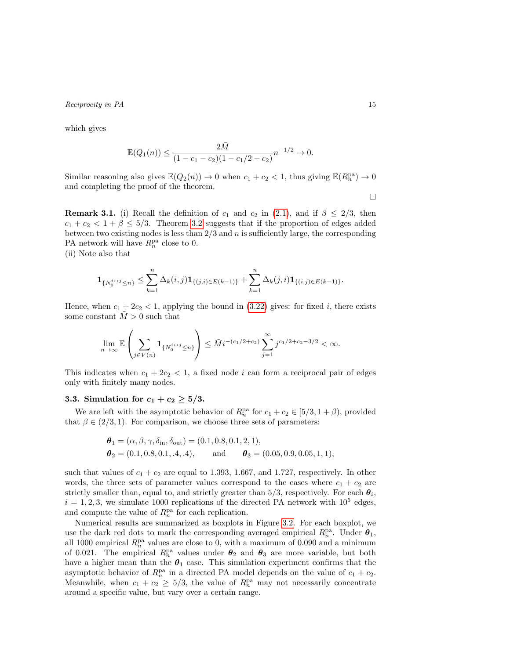which gives

$$
\mathbb{E}(Q_1(n)) \le \frac{2\overline{M}}{(1 - c_1 - c_2)(1 - c_1/2 - c_2)} n^{-1/2} \to 0.
$$

Similar reasoning also gives  $\mathbb{E}(Q_2(n)) \to 0$  when  $c_1 + c_2 < 1$ , thus giving  $\mathbb{E}(R_n^{\text{pa}}) \to 0$ and completing the proof of the theorem.

 $\Box$ 

**Remark 3.1.** (i) Recall the definition of  $c_1$  and  $c_2$  in [\(2.1\)](#page-3-1), and if  $\beta \leq 2/3$ , then  $c_1 + c_2 < 1 + \beta \leq 5/3$ . Theorem [3.2](#page-11-1) suggests that if the proportion of edges added between two existing nodes is less than  $2/3$  and n is sufficiently large, the corresponding PA network will have  $R_n^{\text{pa}}$  close to 0.

(ii) Note also that

$$
\mathbf{1}_{\{N_0^{i\leftrightarrow j} \leq n\}} \leq \sum_{k=1}^n \Delta_k(i,j) \mathbf{1}_{\{(j,i)\in E(k-1)\}} + \sum_{k=1}^n \Delta_k(j,i) \mathbf{1}_{\{(i,j)\in E(k-1)\}}.
$$

Hence, when  $c_1 + 2c_2 < 1$ , applying the bound in [\(3.22\)](#page-13-0) gives: for fixed i, there exists some constant  $\bar{M}>0$  such that

$$
\lim_{n \to \infty} \mathbb{E} \left( \sum_{j \in V(n)} \mathbf{1}_{\{N_0^{i \leftrightarrow j} \le n\}} \right) \le \tilde{M} i^{-(c_1/2 + c_2)} \sum_{j=1}^{\infty} j^{c_1/2 + c_2 - 3/2} < \infty.
$$

This indicates when  $c_1 + 2c_2 < 1$ , a fixed node i can form a reciprocal pair of edges only with finitely many nodes.

#### 3.3. Simulation for  $c_1 + c_2 \geq 5/3$ .

We are left with the asymptotic behavior of  $R_n^{\text{pa}}$  for  $c_1 + c_2 \in [5/3, 1 + \beta)$ , provided that  $\beta \in (2/3, 1)$ . For comparison, we choose three sets of parameters:

$$
\theta_1 = (\alpha, \beta, \gamma, \delta_{\text{in}}, \delta_{\text{out}}) = (0.1, 0.8, 0.1, 2, 1), \n\theta_2 = (0.1, 0.8, 0.1, .4, .4), \quad \text{and} \quad \theta_3 = (0.05, 0.9, 0.05, 1, 1),
$$

such that values of  $c_1 + c_2$  are equal to 1.393, 1.667, and 1.727, respectively. In other words, the three sets of parameter values correspond to the cases where  $c_1 + c_2$  are strictly smaller than, equal to, and strictly greater than 5/3, respectively. For each  $\theta_i$ ,  $i = 1, 2, 3$ , we simulate 1000 replications of the directed PA network with  $10^5$  edges, and compute the value of  $R_n^{\text{pa}}$  for each replication.

Numerical results are summarized as boxplots in Figure [3.2.](#page-15-3) For each boxplot, we use the dark red dots to mark the corresponding averaged empirical  $R_n^{\text{pa}}$ . Under  $\theta_1$ , all 1000 empirical  $R_n^{\text{pa}}$  values are close to 0, with a maximum of 0.090 and a minimum of 0.021. The empirical  $R_n^{\text{pa}}$  values under  $\theta_2$  and  $\theta_3$  are more variable, but both have a higher mean than the  $\theta_1$  case. This simulation experiment confirms that the asymptotic behavior of  $R_n^{\text{pa}}$  in a directed PA model depends on the value of  $c_1 + c_2$ . Meanwhile, when  $c_1 + c_2 \geq 5/3$ , the value of  $R_n^{\text{pa}}$  may not necessarily concentrate around a specific value, but vary over a certain range.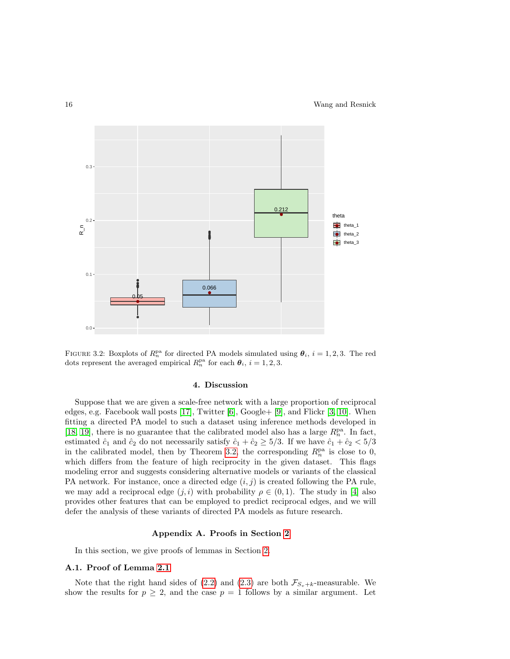

<span id="page-15-3"></span>FIGURE 3.2: Boxplots of  $R_n^{\text{pa}}$  for directed PA models simulated using  $\theta_i$ ,  $i = 1, 2, 3$ . The red dots represent the averaged empirical  $R_n^{\text{pa}}$  for each  $\theta_i$ ,  $i = 1, 2, 3$ .

## 4. Discussion

<span id="page-15-1"></span>Suppose that we are given a scale-free network with a large proportion of reciprocal edges, e.g. Facebook wall posts [\[17\]](#page-24-1), Twitter [\[6\]](#page-23-4), Google+ [\[9\]](#page-23-5), and Flickr [\[3,](#page-23-3) [10\]](#page-23-1). When fitting a directed PA model to such a dataset using inference methods developed in [\[18,](#page-24-2) [19\]](#page-24-4), there is no guarantee that the calibrated model also has a large  $R_n^{\text{pa}}$ . In fact, estimated  $\hat{c}_1$  and  $\hat{c}_2$  do not necessarily satisfy  $\hat{c}_1 + \hat{c}_2 \ge 5/3$ . If we have  $\hat{c}_1 + \hat{c}_2 < 5/3$ in the calibrated model, then by Theorem [3.2,](#page-11-1) the corresponding  $R_n^{\text{pa}}$  is close to 0, which differs from the feature of high reciprocity in the given dataset. This flags modeling error and suggests considering alternative models or variants of the classical PA network. For instance, once a directed edge  $(i, j)$  is created following the PA rule, we may add a reciprocal edge  $(j, i)$  with probability  $\rho \in (0, 1)$ . The study in [\[4\]](#page-23-10) also provides other features that can be employed to predict reciprocal edges, and we will defer the analysis of these variants of directed PA models as future research.

### Appendix A. Proofs in Section [2](#page-3-0)

<span id="page-15-0"></span>In this section, we give proofs of lemmas in Section [2.](#page-3-0)

### <span id="page-15-2"></span>A.1. Proof of Lemma [2.1](#page-3-3)

Note that the right hand sides of [\(2.2\)](#page-3-4) and [\(2.3\)](#page-3-5) are both  $\mathcal{F}_{S_v+k}$ -measurable. We show the results for  $p \geq 2$ , and the case  $p = 1$  follows by a similar argument. Let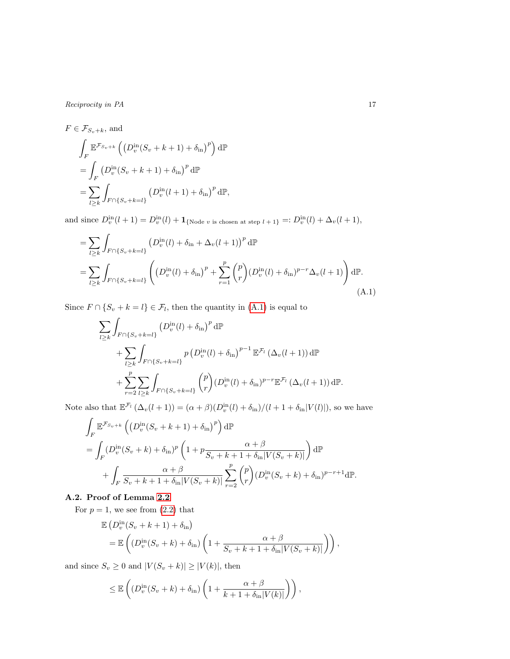$F \in \mathcal{F}_{S_n+k}$ , and Z F  $\mathbb{E}^{\mathcal{F}_{S_v+k}}\left(\left(D_v^{\rm in}(S_v+k+1)+\delta_{\rm in}\right)^p\right)\mathrm{d}\mathbb{P}$  $=$   $\overline{ }$ F  $(D_v^{\text{in}}(S_v + k + 1) + \delta_{\text{in}})^p d\mathbb{P}$  $=$   $\sum$  $l \geq k$ Z  $F \cap \{S_v + k = l\}$  $(D_v^{\text{in}}(l+1) + \delta_{\text{in}})^p d\mathbb{P},$ 

and since  $D_v^{\text{in}}(l + 1) = D_v^{\text{in}}(l) + \mathbf{1}_{\{\text{Node } v \text{ is chosen at step } l + 1\}} =: D_v^{\text{in}}(l) + \Delta_v(l + 1),$ 

$$
= \sum_{l \geq k} \int_{F \cap \{S_v + k = l\}} \left( D_v^{\text{in}}(l) + \delta_{\text{in}} + \Delta_v(l+1) \right)^p \, \mathrm{d}\mathbb{P}
$$
\n
$$
= \sum_{l \geq k} \int_{F \cap \{S_v + k = l\}} \left( \left( D_v^{\text{in}}(l) + \delta_{\text{in}} \right)^p + \sum_{r=1}^p \binom{p}{r} \left( D_v^{\text{in}}(l) + \delta_{\text{in}} \right)^{p-r} \Delta_v(l+1) \right) \mathrm{d}\mathbb{P}. \tag{A.1}
$$

Since  $F \cap \{S_v + k = l\} \in \mathcal{F}_l$ , then the quantity in  $(A.1)$  is equal to

<span id="page-16-1"></span>
$$
\sum_{l\geq k} \int_{F\cap\{S_v+k=l\}} \left(D_v^{\text{in}}(l) + \delta_{\text{in}}\right)^p \,d\mathbb{P}
$$
\n
$$
+ \sum_{l\geq k} \int_{F\cap\{S_v+k=l\}} p\left(D_v^{\text{in}}(l) + \delta_{\text{in}}\right)^{p-1} \mathbb{E}^{\mathcal{F}_l}\left(\Delta_v(l+1)\right) \,d\mathbb{P}
$$
\n
$$
+ \sum_{r=2}^p \sum_{l\geq k} \int_{F\cap\{S_v+k=l\}} \binom{p}{r} (D_v^{\text{in}}(l) + \delta_{\text{in}})^{p-r} \mathbb{E}^{\mathcal{F}_l}\left(\Delta_v(l+1)\right) \,d\mathbb{P}.
$$

Note also that  $\mathbb{E}^{\mathcal{F}_l}(\Delta_v(l+1)) = (\alpha + \beta)(D_v^{\text{in}}(l) + \delta_{\text{in}})/(l+1+\delta_{\text{in}}|V(l)|)$ , so we have

$$
\int_{F} \mathbb{E}^{\mathcal{F}_{S_v+k}} \left( \left( D_v^{\text{in}} (S_v + k + 1) + \delta_{\text{in}} \right)^p \right) d\mathbb{P}
$$
\n
$$
= \int_{F} \left( D_v^{\text{in}} (S_v + k) + \delta_{\text{in}} \right)^p \left( 1 + p \frac{\alpha + \beta}{S_v + k + 1 + \delta_{\text{in}} |V(S_v + k)|} \right) d\mathbb{P}
$$
\n
$$
+ \int_{F} \frac{\alpha + \beta}{S_v + k + 1 + \delta_{\text{in}} |V(S_v + k)|} \sum_{r=2}^p {p \choose r} (D_v^{\text{in}} (S_v + k) + \delta_{\text{in}})^{p-r+1} d\mathbb{P}.
$$

## <span id="page-16-0"></span>A.2. Proof of Lemma [2.2](#page-3-2)

For  $p = 1$ , we see from  $(2.2)$  that

$$
\mathbb{E}\left(D_v^{\text{in}}(S_v + k + 1) + \delta_{\text{in}}\right)
$$
  
= 
$$
\mathbb{E}\left((D_v^{\text{in}}(S_v + k) + \delta_{\text{in}})\left(1 + \frac{\alpha + \beta}{S_v + k + 1 + \delta_{\text{in}}|V(S_v + k)|}\right)\right),
$$

and since  $S_v \geq 0$  and  $|V(S_v + k)| \geq |V(k)|$ , then

$$
\leq \mathbb{E}\left( \left( D_v^{\text{in}}(S_v + k) + \delta_{\text{in}} \right) \left( 1 + \frac{\alpha + \beta}{k + 1 + \delta_{\text{in}} |V(k)|} \right) \right),\,
$$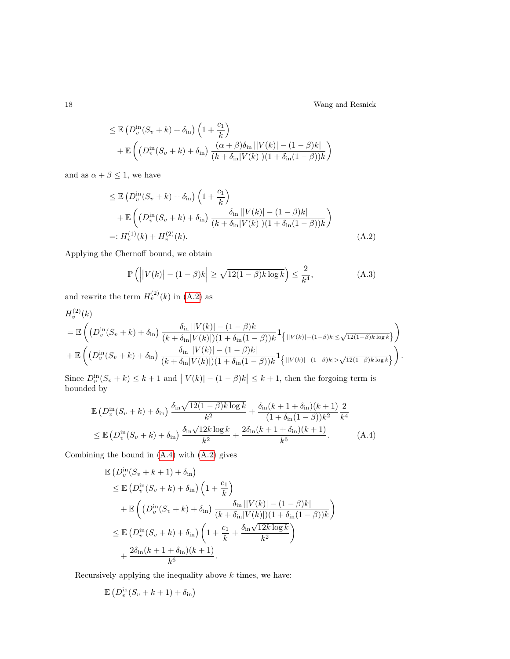18 Wang and Resnick

<span id="page-17-1"></span><span id="page-17-0"></span>.

$$
\leq \mathbb{E} \left( D_v^{\text{in}}(S_v + k) + \delta_{\text{in}} \right) \left( 1 + \frac{c_1}{k} \right)
$$
  
+ 
$$
\mathbb{E} \left( \left( D_v^{\text{in}}(S_v + k) + \delta_{\text{in}} \right) \frac{(\alpha + \beta)\delta_{\text{in}} ||V(k)| - (1 - \beta)k|}{(k + \delta_{\text{in}} |V(k)|)(1 + \delta_{\text{in}}(1 - \beta))k} \right)
$$

and as  $\alpha + \beta \leq 1,$  we have

$$
\leq \mathbb{E} \left( D_v^{\text{in}}(S_v + k) + \delta_{\text{in}} \right) \left( 1 + \frac{c_1}{k} \right)
$$
  
+ 
$$
\mathbb{E} \left( \left( D_v^{\text{in}}(S_v + k) + \delta_{\text{in}} \right) \frac{\delta_{\text{in}} ||V(k)| - (1 - \beta)k|}{(k + \delta_{\text{in}} |V(k)|)(1 + \delta_{\text{in}}(1 - \beta))k} \right)
$$
  
=: 
$$
H_v^{(1)}(k) + H_v^{(2)}(k).
$$
 (A.2)

Applying the Chernoff bound, we obtain

<span id="page-17-2"></span>
$$
\mathbb{P}\left(\left|\left|V(k)\right| - (1-\beta)k\right| \ge \sqrt{12(1-\beta)k\log k}\right) \le \frac{2}{k^4},\tag{A.3}
$$

and rewrite the term  $H_v^{(2)}(k)$  in [\(A.2\)](#page-17-0) as

$$
H_v^{(2)}(k)
$$
  
=  $\mathbb{E}\left(\left(D_v^{\text{in}}(S_v+k)+\delta_{\text{in}}\right)\frac{\delta_{\text{in}}||V(k)|-(1-\beta)k|}{(k+\delta_{\text{in}}|V(k)|)(1+\delta_{\text{in}}(1-\beta))k}\mathbf{1}_{\{|V(k)|-(1-\beta)k|\leq\sqrt{12(1-\beta)k\log k}\}}\right)\right)$   
+  $\mathbb{E}\left(\left(D_v^{\text{in}}(S_v+k)+\delta_{\text{in}}\right)\frac{\delta_{\text{in}}||V(k)|-(1-\beta)k|}{(k+\delta_{\text{in}}|V(k)|)(1+\delta_{\text{in}}(1-\beta))k}\mathbf{1}_{\{|V(k)|-(1-\beta)k|>\sqrt{12(1-\beta)k\log k}\}}\right)$ 

Since  $D_v^{\text{in}}(S_v + k) \leq k + 1$  and  $||V(k)| - (1 - \beta)k| \leq k + 1$ , then the forgoing term is bounded by

$$
\mathbb{E}\left(D_v^{\text{in}}(S_v+k)+\delta_{\text{in}}\right)\frac{\delta_{\text{in}}\sqrt{12(1-\beta)k\log k}}{k^2}+\frac{\delta_{\text{in}}(k+1+\delta_{\text{in}})(k+1)}{(1+\delta_{\text{in}}(1-\beta))k^2}\frac{2}{k^4}
$$
\n
$$
\leq \mathbb{E}\left(D_v^{\text{in}}(S_v+k)+\delta_{\text{in}}\right)\frac{\delta_{\text{in}}\sqrt{12k\log k}}{k^2}+\frac{2\delta_{\text{in}}(k+1+\delta_{\text{in}})(k+1)}{k^6}.\tag{A.4}
$$

Combining the bound in [\(A.4\)](#page-17-1) with [\(A.2\)](#page-17-0) gives

$$
\mathbb{E}\left(D_v^{\text{in}}(S_v+k+1)+\delta_{\text{in}}\right)
$$
\n
$$
\leq \mathbb{E}\left(D_v^{\text{in}}(S_v+k)+\delta_{\text{in}}\right)\left(1+\frac{c_1}{k}\right)
$$
\n
$$
+\mathbb{E}\left(\left(D_v^{\text{in}}(S_v+k)+\delta_{\text{in}}\right)\frac{\delta_{\text{in}}\left|\left|V(k)\right|-(1-\beta)k\right|}{\left(k+\delta_{\text{in}}\left|V(k)\right|\right)\left(1+\delta_{\text{in}}(1-\beta)\right)k}\right)
$$
\n
$$
\leq \mathbb{E}\left(D_v^{\text{in}}(S_v+k)+\delta_{\text{in}}\right)\left(1+\frac{c_1}{k}+\frac{\delta_{\text{in}}\sqrt{12k\log k}}{k^2}\right)
$$
\n
$$
+\frac{2\delta_{\text{in}}(k+1+\delta_{\text{in}})(k+1)}{k^6}.
$$

Recursively applying the inequality above  $k$  times, we have:

$$
\mathbb{E}\left(D_v^{\text{in}}(S_v + k + 1) + \delta_{\text{in}}\right)
$$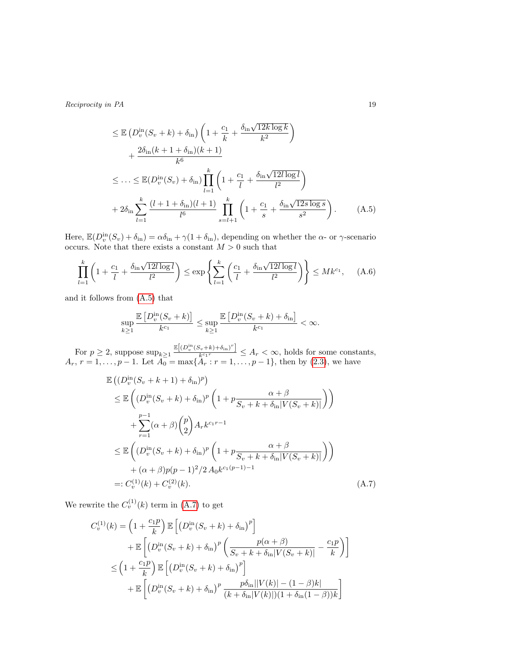<span id="page-18-0"></span>
$$
\leq \mathbb{E} \left( D_v^{\text{in}}(S_v + k) + \delta_{\text{in}} \right) \left( 1 + \frac{c_1}{k} + \frac{\delta_{\text{in}} \sqrt{12k \log k}}{k^2} \right) \n+ \frac{2\delta_{\text{in}}(k+1+\delta_{\text{in}})(k+1)}{k^6} \n\leq \dots \leq \mathbb{E} (D_v^{\text{in}}(S_v) + \delta_{\text{in}}) \prod_{l=1}^k \left( 1 + \frac{c_1}{l} + \frac{\delta_{\text{in}} \sqrt{12l \log l}}{l^2} \right) \n+ 2\delta_{\text{in}} \sum_{l=1}^k \frac{(l+1+\delta_{\text{in}})(l+1)}{l^6} \prod_{s=l+1}^k \left( 1 + \frac{c_1}{s} + \frac{\delta_{\text{in}} \sqrt{12s \log s}}{s^2} \right). \tag{A.5}
$$

Here,  $\mathbb{E}(D_v^{\text{in}}(S_v) + \delta_{\text{in}}) = \alpha \delta_{\text{in}} + \gamma (1 + \delta_{\text{in}})$ , depending on whether the  $\alpha$ - or  $\gamma$ -scenario occurs. Note that there exists a constant  $M>0$  such that

$$
\prod_{l=1}^{k} \left( 1 + \frac{c_1}{l} + \frac{\delta_{\text{in}} \sqrt{12l \log l}}{l^2} \right) \le \exp \left\{ \sum_{l=1}^{k} \left( \frac{c_1}{l} + \frac{\delta_{\text{in}} \sqrt{12l \log l}}{l^2} \right) \right\} \le Mk^{c_1}, \quad (A.6)
$$

and it follows from [\(A.5\)](#page-18-0) that

$$
\sup_{k\geq 1}\frac{\mathbb{E}\left[D_v^{\text{in}}(S_v+k)\right]}{k^{c_1}}\leq \sup_{k\geq 1}\frac{\mathbb{E}\left[D_v^{\text{in}}(S_v+k)+\delta_{\text{in}}\right]}{k^{c_1}}<\infty.
$$

For  $p \geq 2$ , suppose  $\sup_{k \geq 1} \frac{\mathbb{E}[(D_v^{\text{in}}(S_v+k)+\delta_{\text{in}})^r]}{k^{c_1r}}$  $\frac{\sum_{k \in \mathbb{N}}^{\infty} \mathbb{R}^{n} \times \mathbb{R}^{n}}{k^{c_1 r}} \leq A_r < \infty$ , holds for some constants,  $A_r$ ,  $r = 1, \ldots, p - 1$ . Let  $A_0 = \max\{A_r : r = 1, \ldots, p - 1\}$ , then by [\(2.3\)](#page-3-5), we have

<span id="page-18-1"></span>
$$
\mathbb{E}\left((D_v^{\text{in}}(S_v + k + 1) + \delta_{\text{in}})^p\right) \n\leq \mathbb{E}\left((D_v^{\text{in}}(S_v + k) + \delta_{\text{in}})^p \left(1 + p \frac{\alpha + \beta}{S_v + k + \delta_{\text{in}} |V(S_v + k)|}\right)\right) \n+ \sum_{r=1}^{p-1} (\alpha + \beta) {p \choose 2} A_r k^{c_1 r - 1} \n\leq \mathbb{E}\left((D_v^{\text{in}}(S_v + k) + \delta_{\text{in}})^p \left(1 + p \frac{\alpha + \beta}{S_v + k + \delta_{\text{in}} |V(S_v + k)|}\right)\right) \n+ (\alpha + \beta) p (p - 1)^2 / 2 A_0 k^{c_1 (p - 1) - 1} \n=: C_v^{(1)}(k) + C_v^{(2)}(k).
$$
\n(A.7)

We rewrite the  $C_v^{(1)}(k)$  term in [\(A.7\)](#page-18-1) to get

$$
C_v^{(1)}(k) = \left(1 + \frac{c_1 p}{k}\right) \mathbb{E}\left[\left(D_v^{\text{in}}(S_v + k) + \delta_{\text{in}}\right)^p\right] + \mathbb{E}\left[\left(D_v^{\text{in}}(S_v + k) + \delta_{\text{in}}\right)^p \left(\frac{p(\alpha + \beta)}{S_v + k + \delta_{\text{in}}|V(S_v + k)|} - \frac{c_1 p}{k}\right)\right] \leq \left(1 + \frac{c_1 p}{k}\right) \mathbb{E}\left[\left(D_v^{\text{in}}(S_v + k) + \delta_{\text{in}}\right)^p\right] + \mathbb{E}\left[\left(D_v^{\text{in}}(S_v + k) + \delta_{\text{in}}\right)^p \frac{p\delta_{\text{in}}||V(k)| - (1 - \beta)k|}{(k + \delta_{\text{in}}|V(k)|)(1 + \delta_{\text{in}}(1 - \beta))k}\right]
$$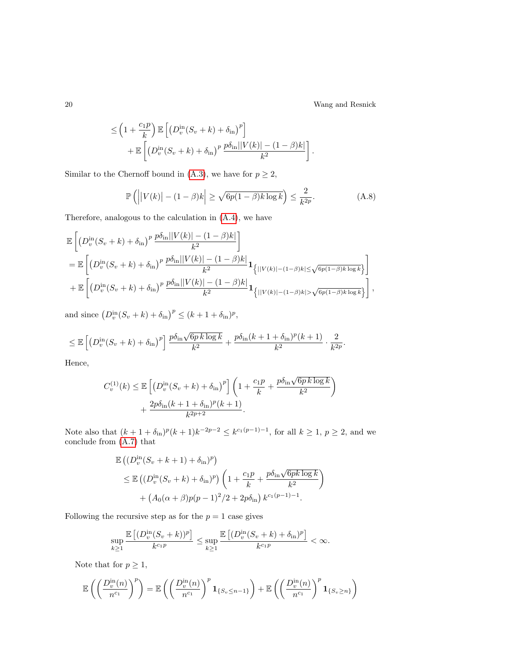20 Wang and Resnick

$$
\leq \left(1 + \frac{c_1 p}{k}\right) \mathbb{E}\left[\left(D_v^{\text{in}}(S_v + k) + \delta_{\text{in}}\right)^p\right] + \mathbb{E}\left[\left(D_v^{\text{in}}(S_v + k) + \delta_{\text{in}}\right)^p \frac{p\delta_{\text{in}}||V(k)| - (1 - \beta)k|}{k^2}\right].
$$

Similar to the Chernoff bound in [\(A.3\)](#page-17-2), we have for  $p \geq 2$ ,

$$
\mathbb{P}\left(\left|\left|V(k)\right| - (1-\beta)k\right| \ge \sqrt{6p(1-\beta)k\log k}\right) \le \frac{2}{k^{2p}}.\tag{A.8}
$$

Therefore, analogous to the calculation in [\(A.4\)](#page-17-1), we have

$$
\mathbb{E}\left[\left(D_{v}^{\text{in}}(S_{v}+k)+\delta_{\text{in}}\right)^{p}\frac{p\delta_{\text{in}}||V(k)|-(1-\beta)k|}{k^{2}}\right] \n= \mathbb{E}\left[\left(D_{v}^{\text{in}}(S_{v}+k)+\delta_{\text{in}}\right)^{p}\frac{p\delta_{\text{in}}||V(k)|-(1-\beta)k|}{k^{2}}\mathbf{1}_{\left\{|V(k)|-(1-\beta)k|\leq\sqrt{6p(1-\beta)k\log k}\right\}}\right] \n+ \mathbb{E}\left[\left(D_{v}^{\text{in}}(S_{v}+k)+\delta_{\text{in}}\right)^{p}\frac{p\delta_{\text{in}}||V(k)|-(1-\beta)k|}{k^{2}}\mathbf{1}_{\left\{|V(k)|-(1-\beta)k|>\sqrt{6p(1-\beta)k\log k}\right\}}\right],
$$

and since  $(D_v^{\text{in}}(S_v+k)+\delta_{\text{in}})^p \leq (k+1+\delta_{\text{in}})^p$ ,

$$
\leq \mathbb{E}\left[\left(D_v^{\text{in}}(S_v+k)+\delta_{\text{in}}\right)^p\right]\frac{p\delta_{\text{in}}\sqrt{6p\,k\log k}}{k^2}+\frac{p\delta_{\text{in}}(k+1+\delta_{\text{in}})^p(k+1)}{k^2}\cdot\frac{2}{k^{2p}}.
$$

Hence,

$$
C_v^{(1)}(k) \le \mathbb{E}\left[\left(D_v^{\text{in}}(S_v + k) + \delta_{\text{in}}\right)^p\right] \left(1 + \frac{c_1p}{k} + \frac{p\delta_{\text{in}}\sqrt{6p\,k\log k}}{k^2}\right) + \frac{2p\delta_{\text{in}}(k+1+\delta_{\text{in}})^p(k+1)}{k^{2p+2}}.
$$

Note also that  $(k+1+\delta_{\text{in}})^p(k+1)k^{-2p-2} \leq k^{c_1(p-1)-1}$ , for all  $k \geq 1, p \geq 2$ , and we conclude from [\(A.7\)](#page-18-1) that

$$
\mathbb{E}\left((D_v^{\text{in}}(S_v+k+1)+\delta_{\text{in}})^p\right)
$$
\n
$$
\leq \mathbb{E}\left((D_v^{\text{in}}(S_v+k)+\delta_{\text{in}})^p\right)\left(1+\frac{c_1p}{k}+\frac{p\delta_{\text{in}}\sqrt{6pk\log k}}{k^2}\right)
$$
\n
$$
+\left(A_0(\alpha+\beta)p(p-1)^2/2+2p\delta_{\text{in}}\right)k^{c_1(p-1)-1}.
$$

Following the recursive step as for the  $p = 1$  case gives

$$
\sup_{k\geq 1}\frac{\mathbb{E}\left[(D_v^{\text{in}}(S_v+k))^p\right]}{k^{c_1p}}\leq \sup_{k\geq 1}\frac{\mathbb{E}\left[(D_v^{\text{in}}(S_v+k)+\delta_{\text{in}})^p\right]}{k^{c_1p}}<\infty.
$$

Note that for  $p\geq 1,$ 

$$
\mathbb{E}\left(\left(\frac{D_v^{\text{in}}(n)}{n^{c_1}}\right)^p\right) = \mathbb{E}\left(\left(\frac{D_v^{\text{in}}(n)}{n^{c_1}}\right)^p \mathbf{1}_{\{S_v \leq n-1\}}\right) + \mathbb{E}\left(\left(\frac{D_v^{\text{in}}(n)}{n^{c_1}}\right)^p \mathbf{1}_{\{S_v \geq n\}}\right)
$$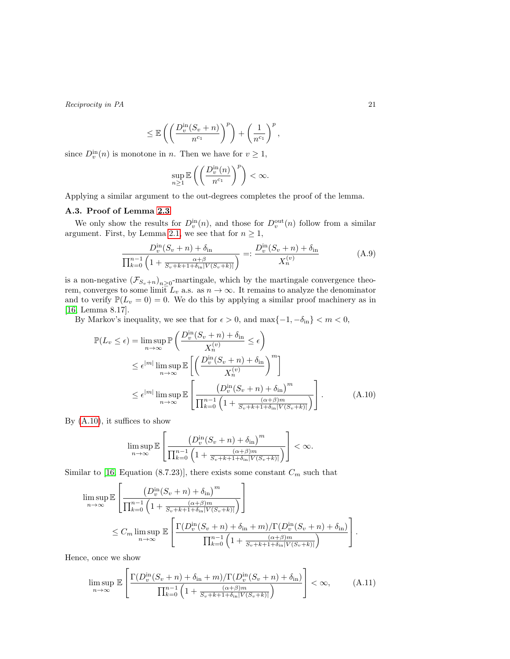$$
\leq \mathbb{E}\left(\left(\frac{D_v^{\text{in}}(S_v+n)}{n^{c_1}}\right)^p\right) + \left(\frac{1}{n^{c_1}}\right)^p,
$$

since  $D_v^{\text{in}}(n)$  is monotone in n. Then we have for  $v \geq 1$ ,

$$
\sup_{n\geq 1}\mathbb{E}\left(\left(\frac{D^{\text{in}}_v(n)}{n^{c_1}}\right)^p\right)<\infty.
$$

Applying a similar argument to the out-degrees completes the proof of the lemma.

### <span id="page-20-0"></span>A.3. Proof of Lemma [2.3](#page-4-1)

We only show the results for  $D_v^{\text{in}}(n)$ , and those for  $D_v^{\text{out}}(n)$  follow from a similar argument. First, by Lemma [2.1,](#page-3-3) we see that for  $n \geq 1$ ,

<span id="page-20-3"></span>
$$
\frac{D_v^{\text{in}}(S_v + n) + \delta_{\text{in}}}{\prod_{k=0}^{n-1} \left(1 + \frac{\alpha + \beta}{S_v + k + 1 + \delta_{\text{in}} |V(S_v + k)|}\right)} =: \frac{D_v^{\text{in}}(S_v + n) + \delta_{\text{in}}}{X_n^{(v)}}
$$
(A.9)

is a non-negative  $(\mathcal{F}_{S_v+n})_{n\geq 0}$ -martingale, which by the martingale convergence theorem, converges to some limit  $L_v$  a.s. as  $n \to \infty$ . It remains to analyze the denominator and to verify  $\mathbb{P}(L_v = 0) = 0$ . We do this by applying a similar proof machinery as in [\[16,](#page-23-14) Lemma 8.17].

By Markov's inequality, we see that for  $\epsilon > 0$ , and  $\max\{-1, -\delta_{\text{in}}\} < m < 0$ ,

$$
\mathbb{P}(L_v \le \epsilon) = \limsup_{n \to \infty} \mathbb{P}\left(\frac{D_v^{\text{in}}(S_v + n) + \delta_{\text{in}}}{X_n^{(v)}} \le \epsilon\right)
$$
  

$$
\le \epsilon^{|m|} \limsup_{n \to \infty} \mathbb{E}\left[\left(\frac{D_v^{\text{in}}(S_v + n) + \delta_{\text{in}}}{X_n^{(v)}}\right)^m\right]
$$
  

$$
\le \epsilon^{|m|} \limsup_{n \to \infty} \mathbb{E}\left[\frac{\left(D_v^{\text{in}}(S_v + n) + \delta_{\text{in}}\right)^m}{\prod_{k=0}^{n-1} \left(1 + \frac{(\alpha + \beta)m}{S_v + k + 1 + \delta_{\text{in}}|V(S_v + k)|}\right)}\right].
$$
 (A.10)

By  $(A.10)$ , it suffices to show

<span id="page-20-1"></span>
$$
\limsup_{n\to\infty} \mathbb{E}\left[\frac{\left(D_v^{\text{in}}(S_v+n)+\delta_{\text{in}}\right)^m}{\prod_{k=0}^{n-1}\left(1+\frac{(\alpha+\beta)m}{S_v+k+1+\delta_{\text{in}}|V(S_v+k)|}\right)}\right]<\infty.
$$

Similar to [\[16,](#page-23-14) Equation (8.7.23)], there exists some constant  $C_m$  such that

$$
\limsup_{n \to \infty} \mathbb{E} \left[ \frac{\left( D_v^{\text{in}}(S_v + n) + \delta_{\text{in}} \right)^m}{\prod_{k=0}^{n-1} \left( 1 + \frac{\alpha + \beta)m}{S_v + k + 1 + \delta_{\text{in}} |V(S_v + k)|} \right)} \right]
$$
\n
$$
\leq C_m \limsup_{n \to \infty} \mathbb{E} \left[ \frac{\Gamma(D_v^{\text{in}}(S_v + n) + \delta_{\text{in}} + m) / \Gamma(D_v^{\text{in}}(S_v + n) + \delta_{\text{in}})}{\prod_{k=0}^{n-1} \left( 1 + \frac{\alpha + \beta)m}{S_v + k + 1 + \delta_{\text{in}} |V(S_v + k)|} \right)} \right].
$$

Hence, once we show

<span id="page-20-2"></span>
$$
\limsup_{n \to \infty} \mathbb{E}\left[\frac{\Gamma(D_v^{\text{in}}(S_v + n) + \delta_{\text{in}} + m)/\Gamma(D_v^{\text{in}}(S_v + n) + \delta_{\text{in}})}{\prod_{k=0}^{n-1} \left(1 + \frac{(\alpha + \beta)m}{S_v + k + 1 + \delta_{\text{in}}|V(S_v + k)|}\right)}\right] < \infty,
$$
\n(A.11)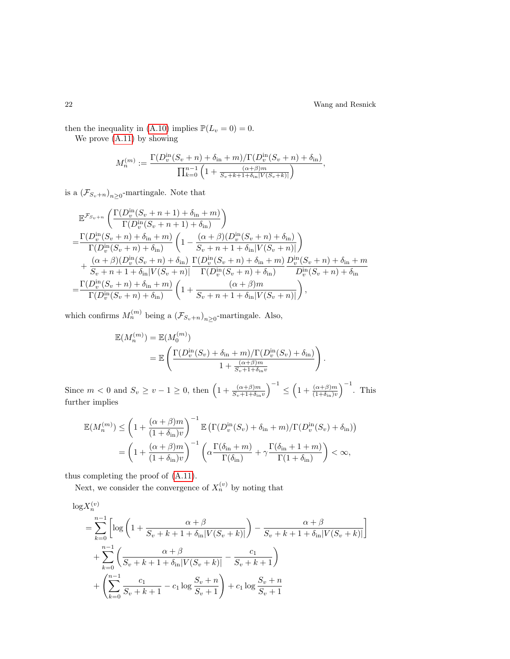then the inequality in [\(A.10\)](#page-20-1) implies  $\mathbb{P}(L_v = 0) = 0$ .

We prove [\(A.11\)](#page-20-2) by showing

$$
M_n^{(m)} := \frac{\Gamma(D_v^{\text{in}}(S_v + n) + \delta_{\text{in}} + m) / \Gamma(D_v^{\text{in}}(S_v + n) + \delta_{\text{in}})}{\prod_{k=0}^{n-1} \left(1 + \frac{(\alpha + \beta)m}{S_v + k + 1 + \delta_{\text{in}} |V(S_v + k)|}\right)},
$$

is a  $(\mathcal{F}_{S_v+n})_{n\geq 0}$ -martingale. Note that

$$
\mathbb{E}^{\mathcal{F}_{S_v+n}}\left(\frac{\Gamma(D_v^{\text{in}}(S_v+n+1)+\delta_{\text{in}}+m)}{\Gamma(D_v^{\text{in}}(S_v+n+1)+\delta_{\text{in}}})\right) \n= \frac{\Gamma(D_v^{\text{in}}(S_v+n)+\delta_{\text{in}}+m)}{\Gamma(D_v^{\text{in}}(S_v+n)+\delta_{\text{in}})}\left(1-\frac{(\alpha+\beta)(D_v^{\text{in}}(S_v+n)+\delta_{\text{in}})}{S_v+n+1+\delta_{\text{in}}|V(S_v+n)|}\right) \n+ \frac{(\alpha+\beta)(D_v^{\text{in}}(S_v+n)+\delta_{\text{in}})}{S_v+n+1+\delta_{\text{in}}|V(S_v+n)|}\frac{\Gamma(D_v^{\text{in}}(S_v+n)+\delta_{\text{in}}+m)}{\Gamma(D_v^{\text{in}}(S_v+n)+\delta_{\text{in}})}\frac{D_v^{\text{in}}(S_v+n)+\delta_{\text{in}}+m}{D_v^{\text{in}}(S_v+n)+\delta_{\text{in}}} \n= \frac{\Gamma(D_v^{\text{in}}(S_v+n)+\delta_{\text{in}}+m)}{\Gamma(D_v^{\text{in}}(S_v+n)+\delta_{\text{in}})}\left(1+\frac{(\alpha+\beta)m}{S_v+n+1+\delta_{\text{in}}|V(S_v+n)|}\right),
$$

which confirms  $M_n^{(m)}$  being a  $(\mathcal{F}_{S_v+n})_{n\geq 0}$ -martingale. Also,

$$
\mathbb{E}(M_n^{(m)}) = \mathbb{E}(M_0^{(m)})
$$
  
= 
$$
\mathbb{E}\left(\frac{\Gamma(D_v^{\text{in}}(S_v) + \delta_{\text{in}} + m)/\Gamma(D_v^{\text{in}}(S_v) + \delta_{\text{in}})}{1 + \frac{(\alpha + \beta)m}{S_v + 1 + \delta_{\text{in}}v}}\right).
$$

Since  $m < 0$  and  $S_v \ge v - 1 \ge 0$ , then  $\left(1 + \frac{(\alpha + \beta)m}{S_v + 1 + \delta_{in}v}\right)^{-1} \le \left(1 + \frac{(\alpha + \beta)m}{(1 + \delta_{in})v}\right)^{-1}$ . This further implies

$$
\mathbb{E}(M_n^{(m)}) \le \left(1 + \frac{(\alpha + \beta)m}{(1 + \delta_{\text{in}})v}\right)^{-1} \mathbb{E}\left(\Gamma(D_v^{\text{in}}(S_v) + \delta_{\text{in}} + m)/\Gamma(D_v^{\text{in}}(S_v) + \delta_{\text{in}})\right)
$$

$$
= \left(1 + \frac{(\alpha + \beta)m}{(1 + \delta_{\text{in}})v}\right)^{-1} \left(\alpha \frac{\Gamma(\delta_{\text{in}} + m)}{\Gamma(\delta_{\text{in}})} + \gamma \frac{\Gamma(\delta_{\text{in}} + 1 + m)}{\Gamma(1 + \delta_{\text{in}})}\right) < \infty,
$$

thus completing the proof of [\(A.11\)](#page-20-2).

Next, we consider the convergence of  $X_n^{(v)}$  by noting that

$$
\log X_n^{(v)}
$$
\n
$$
= \sum_{k=0}^{n-1} \left[ \log \left( 1 + \frac{\alpha + \beta}{S_v + k + 1 + \delta_{\text{in}} |V(S_v + k)|} \right) - \frac{\alpha + \beta}{S_v + k + 1 + \delta_{\text{in}} |V(S_v + k)|} \right]
$$
\n
$$
+ \sum_{k=0}^{n-1} \left( \frac{\alpha + \beta}{S_v + k + 1 + \delta_{\text{in}} |V(S_v + k)|} - \frac{c_1}{S_v + k + 1} \right)
$$
\n
$$
+ \left( \sum_{k=0}^{n-1} \frac{c_1}{S_v + k + 1} - c_1 \log \frac{S_v + n}{S_v + 1} \right) + c_1 \log \frac{S_v + n}{S_v + 1}
$$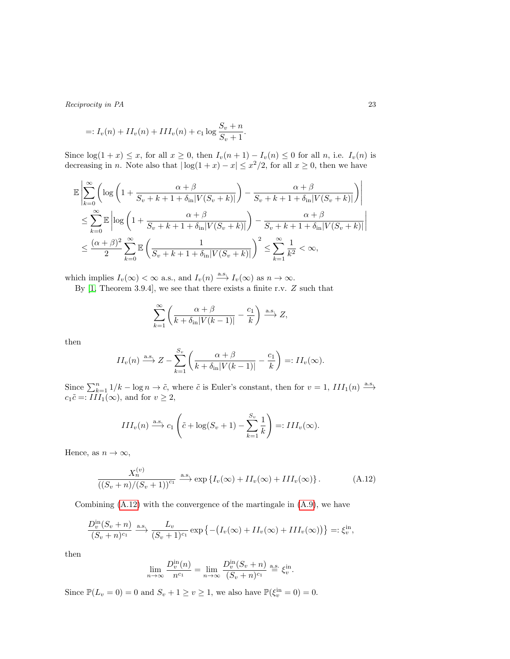$$
=: I_v(n) + II_v(n) + III_v(n) + c_1 \log \frac{S_v + n}{S_v + 1}.
$$

Since  $log(1 + x) \leq x$ , for all  $x \geq 0$ , then  $I_v(n + 1) - I_v(n) \leq 0$  for all n, i.e.  $I_v(n)$  is decreasing in n. Note also that  $|\log(1+x) - x| \leq x^2/2$ , for all  $x \geq 0$ , then we have

$$
\mathbb{E}\left|\sum_{k=0}^{\infty}\left(\log\left(1+\frac{\alpha+\beta}{S_v+k+1+\delta_{\text{in}}|V(S_v+k)|}\right)-\frac{\alpha+\beta}{S_v+k+1+\delta_{\text{in}}|V(S_v+k)|}\right)\right|
$$
  

$$
\leq \sum_{k=0}^{\infty}\mathbb{E}\left|\log\left(1+\frac{\alpha+\beta}{S_v+k+1+\delta_{\text{in}}|V(S_v+k)|}\right)-\frac{\alpha+\beta}{S_v+k+1+\delta_{\text{in}}|V(S_v+k)|}\right|
$$
  

$$
\leq \frac{(\alpha+\beta)^2}{2}\sum_{k=0}^{\infty}\mathbb{E}\left(\frac{1}{S_v+k+1+\delta_{\text{in}}|V(S_v+k)|}\right)^2 \leq \sum_{k=1}^{\infty}\frac{1}{k^2}<\infty,
$$

which implies  $I_v(\infty) < \infty$  a.s., and  $I_v(n) \stackrel{\text{a.s.}}{\longrightarrow} I_v(\infty)$  as  $n \to \infty$ .

By  $[1,$  Theorem 3.9.4], we see that there exists a finite r.v.  $Z$  such that

$$
\sum_{k=1}^{\infty} \left( \frac{\alpha + \beta}{k + \delta_{\text{in}} |V(k-1)|} - \frac{c_1}{k} \right) \xrightarrow{\text{a.s.}} Z,
$$

then

$$
II_v(n) \xrightarrow{\text{a.s.}} Z - \sum_{k=1}^{S_v} \left( \frac{\alpha + \beta}{k + \delta_{\text{in}} |V(k-1)|} - \frac{c_1}{k} \right) =: II_v(\infty).
$$

Since  $\sum_{k=1}^{n} 1/k - \log n \to \tilde{c}$ , where  $\tilde{c}$  is Euler's constant, then for  $v = 1$ ,  $III_1(n) \xrightarrow{\text{a.s.}}$  $c_1\tilde{c} =: III_1(\infty)$ , and for  $v \geq 2$ ,

$$
III_v(n) \xrightarrow{\text{a.s.}} c_1 \left( \tilde{c} + \log(S_v + 1) - \sum_{k=1}^{S_v} \frac{1}{k} \right) =: III_v(\infty).
$$

Hence, as  $n \to \infty$ ,

<span id="page-22-0"></span>
$$
\frac{X_n^{(v)}}{\left(\left(S_v+n\right)/(S_v+1)\right)^{c_1}} \xrightarrow{\text{a.s.}} \exp\left\{I_v(\infty) + II_v(\infty) + III_v(\infty)\right\}.
$$
\n(A.12)

Combining [\(A.12\)](#page-22-0) with the convergence of the martingale in [\(A.9\)](#page-20-3), we have

$$
\frac{D_v^{\text{in}}(S_v+n)}{(S_v+n)^{c_1}} \xrightarrow{\text{a.s.}} \frac{L_v}{(S_v+1)^{c_1}} \exp \left\{-\left(I_v(\infty) + II_v(\infty) + III_v(\infty)\right)\right\} =: \xi_v^{\text{in}},
$$

then

$$
\lim_{n \to \infty} \frac{D_v^{\text{in}}(n)}{n^{c_1}} = \lim_{n \to \infty} \frac{D_v^{\text{in}}(S_v + n)}{(S_v + n)^{c_1}} \stackrel{\text{a.s.}}{=} \xi_v^{\text{in}}.
$$

Since  $\mathbb{P}(L_v = 0) = 0$  and  $S_v + 1 \ge v \ge 1$ , we also have  $\mathbb{P}(\xi_v^{\text{in}} = 0) = 0$ .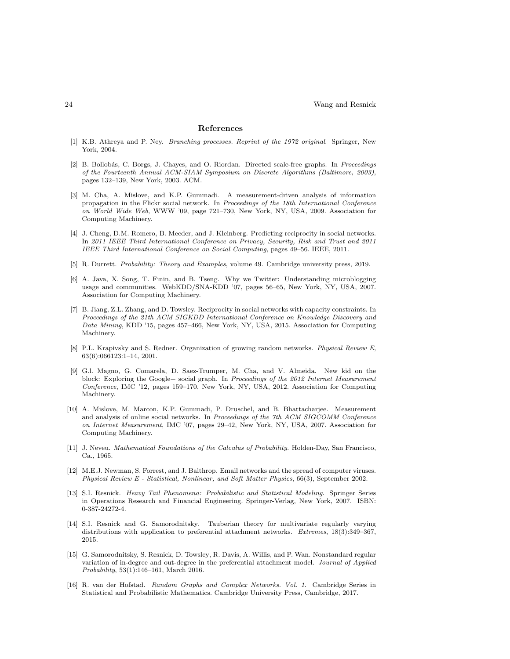#### References

- <span id="page-23-15"></span>[1] K.B. Athreya and P. Ney. Branching processes. Reprint of the 1972 original. Springer, New York, 2004.
- <span id="page-23-6"></span>[2] B. Bollobás, C. Borgs, J. Chayes, and O. Riordan. Directed scale-free graphs. In Proceedings of the Fourteenth Annual ACM-SIAM Symposium on Discrete Algorithms (Baltimore, 2003), pages 132–139, New York, 2003. ACM.
- <span id="page-23-3"></span>[3] M. Cha, A. Mislove, and K.P. Gummadi. A measurement-driven analysis of information propagation in the Flickr social network. In Proceedings of the 18th International Conference on World Wide Web, WWW '09, page 721–730, New York, NY, USA, 2009. Association for Computing Machinery.
- <span id="page-23-10"></span>[4] J. Cheng, D.M. Romero, B. Meeder, and J. Kleinberg. Predicting reciprocity in social networks. In 2011 IEEE Third International Conference on Privacy, Security, Risk and Trust and 2011 IEEE Third International Conference on Social Computing, pages 49–56. IEEE, 2011.
- <span id="page-23-11"></span>[5] R. Durrett. Probability: Theory and Examples, volume 49. Cambridge university press, 2019.
- <span id="page-23-4"></span>[6] A. Java, X. Song, T. Finin, and B. Tseng. Why we Twitter: Understanding microblogging usage and communities. WebKDD/SNA-KDD '07, pages 56–65, New York, NY, USA, 2007. Association for Computing Machinery.
- <span id="page-23-0"></span>[7] B. Jiang, Z.L. Zhang, and D. Towsley. Reciprocity in social networks with capacity constraints. In Proceedings of the 21th ACM SIGKDD International Conference on Knowledge Discovery and Data Mining, KDD '15, pages 457–466, New York, NY, USA, 2015. Association for Computing Machinery.
- <span id="page-23-7"></span>[8] P.L. Krapivsky and S. Redner. Organization of growing random networks. Physical Review E, 63(6):066123:1–14, 2001.
- <span id="page-23-5"></span>[9] G.l. Magno, G. Comarela, D. Saez-Trumper, M. Cha, and V. Almeida. New kid on the block: Exploring the Google+ social graph. In Proceedings of the 2012 Internet Measurement Conference, IMC '12, pages 159–170, New York, NY, USA, 2012. Association for Computing Machinery.
- <span id="page-23-1"></span>[10] A. Mislove, M. Marcon, K.P. Gummadi, P. Druschel, and B. Bhattacharjee. Measurement and analysis of online social networks. In Proceedings of the 7th ACM SIGCOMM Conference on Internet Measurement, IMC '07, pages 29–42, New York, NY, USA, 2007. Association for Computing Machinery.
- <span id="page-23-13"></span>[11] J. Neveu. Mathematical Foundations of the Calculus of Probability. Holden-Day, San Francisco, Ca., 1965.
- <span id="page-23-2"></span>[12] M.E.J. Newman, S. Forrest, and J. Balthrop. Email networks and the spread of computer viruses. Physical Review E - Statistical, Nonlinear, and Soft Matter Physics, 66(3), September 2002.
- <span id="page-23-12"></span>[13] S.I. Resnick. Heavy Tail Phenomena: Probabilistic and Statistical Modeling. Springer Series in Operations Research and Financial Engineering. Springer-Verlag, New York, 2007. ISBN: 0-387-24272-4.
- <span id="page-23-8"></span>[14] S.I. Resnick and G. Samorodnitsky. Tauberian theory for multivariate regularly varying distributions with application to preferential attachment networks. Extremes, 18(3):349–367, 2015.
- <span id="page-23-9"></span>[15] G. Samorodnitsky, S. Resnick, D. Towsley, R. Davis, A. Willis, and P. Wan. Nonstandard regular variation of in-degree and out-degree in the preferential attachment model. Journal of Applied Probability, 53(1):146–161, March 2016.
- <span id="page-23-14"></span>[16] R. van der Hofstad. Random Graphs and Complex Networks. Vol. 1. Cambridge Series in Statistical and Probabilistic Mathematics. Cambridge University Press, Cambridge, 2017.